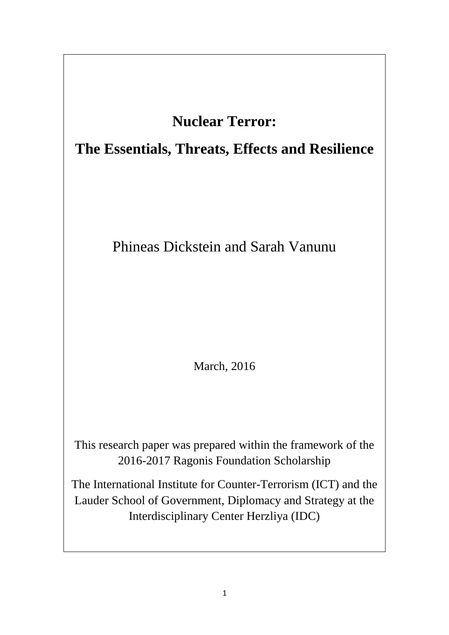# **Nuclear Terror:**

# **The Essentials, Threats, Effects and Resilience**

# Phineas Dickstein and Sarah Vanunu

March, 2016

This research paper was prepared within the framework of the 2016-2017 Ragonis Foundation Scholarship

The International Institute for Counter-Terrorism (ICT) and the Lauder School of Government, Diplomacy and Strategy at the Interdisciplinary Center Herzliya (IDC)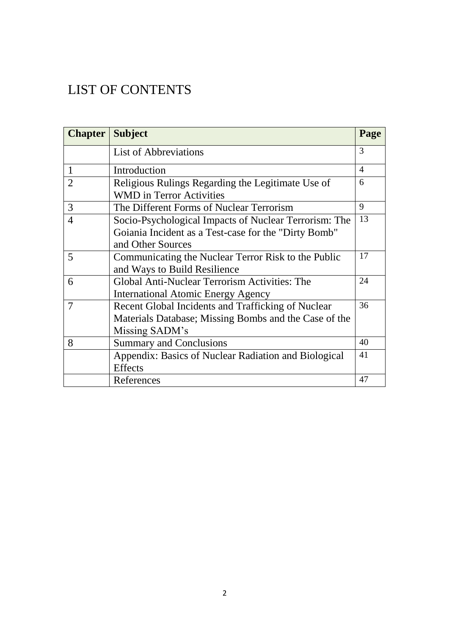# LIST OF CONTENTS

| <b>Chapter</b> | <b>Subject</b>                                                                                                                     | Page |  |  |  |
|----------------|------------------------------------------------------------------------------------------------------------------------------------|------|--|--|--|
|                | <b>List of Abbreviations</b>                                                                                                       | 3    |  |  |  |
| 1              | Introduction                                                                                                                       |      |  |  |  |
| $\overline{2}$ | 6<br>Religious Rulings Regarding the Legitimate Use of<br><b>WMD</b> in Terror Activities                                          |      |  |  |  |
| 3              | 9<br>The Different Forms of Nuclear Terrorism                                                                                      |      |  |  |  |
| 4              | Socio-Psychological Impacts of Nuclear Terrorism: The<br>Goiania Incident as a Test-case for the "Dirty Bomb"<br>and Other Sources | 13   |  |  |  |
| 5              | Communicating the Nuclear Terror Risk to the Public<br>and Ways to Build Resilience                                                |      |  |  |  |
| 6              | 24<br>Global Anti-Nuclear Terrorism Activities: The<br><b>International Atomic Energy Agency</b>                                   |      |  |  |  |
| 7              | Recent Global Incidents and Trafficking of Nuclear<br>Materials Database; Missing Bombs and the Case of the<br>Missing SADM's      | 36   |  |  |  |
| 8              | <b>Summary and Conclusions</b>                                                                                                     | 40   |  |  |  |
|                | Appendix: Basics of Nuclear Radiation and Biological<br><b>Effects</b>                                                             | 41   |  |  |  |
|                | References                                                                                                                         | 47   |  |  |  |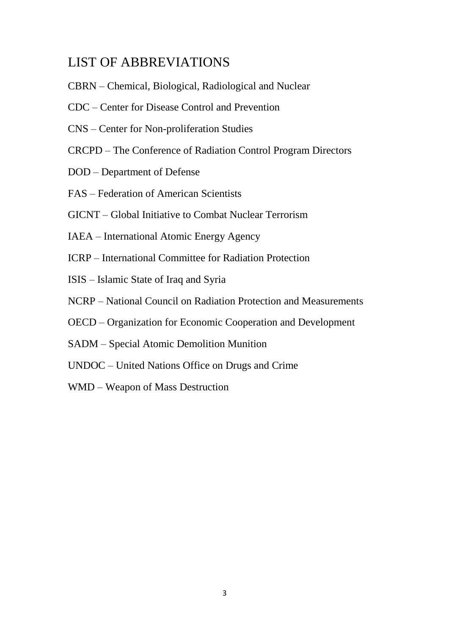## LIST OF ABBREVIATIONS

- CBRN Chemical, Biological, Radiological and Nuclear
- CDC Center for Disease Control and Prevention
- CNS Center for Non-proliferation Studies
- CRCPD The Conference of Radiation Control Program Directors
- DOD Department of Defense
- FAS Federation of American Scientists
- GICNT Global Initiative to Combat Nuclear Terrorism
- IAEA International Atomic Energy Agency
- ICRP International Committee for Radiation Protection
- ISIS Islamic State of Iraq and Syria
- NCRP National Council on Radiation Protection and Measurements
- OECD Organization for Economic Cooperation and Development
- SADM Special Atomic Demolition Munition
- UNDOC United Nations Office on Drugs and Crime
- WMD Weapon of Mass Destruction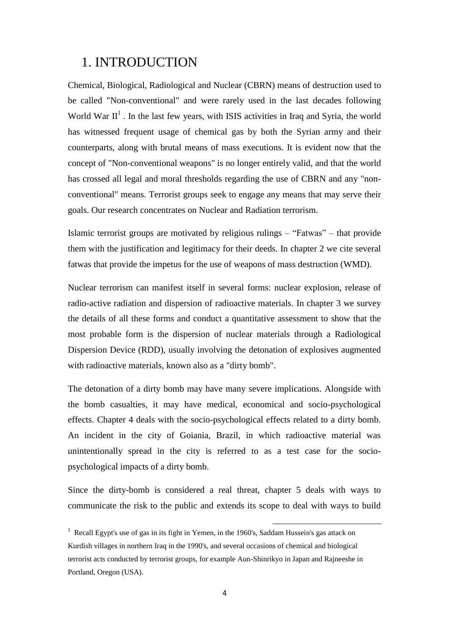## 1. INTRODUCTION

Chemical, Biological, Radiological and Nuclear (CBRN) means of destruction used to be called "Non-conventional" and were rarely used in the last decades following World War  $II<sup>1</sup>$ . In the last few years, with ISIS activities in Iraq and Syria, the world has witnessed frequent usage of chemical gas by both the Syrian army and their counterparts, along with brutal means of mass executions. It is evident now that the concept of "Non-conventional weapons" is no longer entirely valid, and that the world has crossed all legal and moral thresholds regarding the use of CBRN and any "nonconventional" means. Terrorist groups seek to engage any means that may serve their goals. Our research concentrates on Nuclear and Radiation terrorism.

Islamic terrorist groups are motivated by religious rulings – "Fatwas" – that provide them with the justification and legitimacy for their deeds. In chapter 2 we cite several fatwas that provide the impetus for the use of weapons of mass destruction (WMD).

Nuclear terrorism can manifest itself in several forms: nuclear explosion, release of radio-active radiation and dispersion of radioactive materials. In chapter 3 we survey the details of all these forms and conduct a quantitative assessment to show that the most probable form is the dispersion of nuclear materials through a Radiological Dispersion Device (RDD), usually involving the detonation of explosives augmented with radioactive materials, known also as a "dirty bomb".

The detonation of a dirty bomb may have many severe implications. Alongside with the bomb casualties, it may have medical, economical and socio-psychological effects. Chapter 4 deals with the socio-psychological effects related to a dirty bomb. An incident in the city of Goiania, Brazil, in which radioactive material was unintentionally spread in the city is referred to as a test case for the sociopsychological impacts of a dirty bomb.

Since the dirty-bomb is considered a real threat, chapter 5 deals with ways to communicate the risk to the public and extends its scope to deal with ways to build

<sup>&</sup>lt;sup>1</sup> Recall Egypt's use of gas in its fight in Yemen, in the 1960's, Saddam Hussein's gas attack on Kurdish villages in northern Iraq in the 1990's, and several occasions of chemical and biological terrorist acts conducted by terrorist groups, for example Aun-Shinrikyo in Japan and Rajneeshe in Portland, Oregon (USA).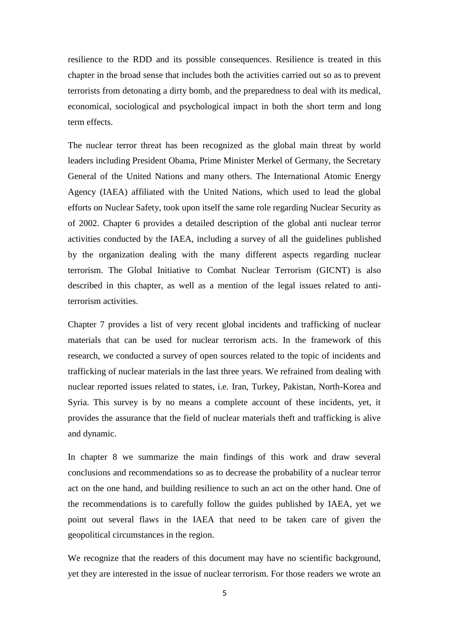resilience to the RDD and its possible consequences. Resilience is treated in this chapter in the broad sense that includes both the activities carried out so as to prevent terrorists from detonating a dirty bomb, and the preparedness to deal with its medical, economical, sociological and psychological impact in both the short term and long term effects.

The nuclear terror threat has been recognized as the global main threat by world leaders including President Obama, Prime Minister Merkel of Germany, the Secretary General of the United Nations and many others. The International Atomic Energy Agency (IAEA) affiliated with the United Nations, which used to lead the global efforts on Nuclear Safety, took upon itself the same role regarding Nuclear Security as of 2002. Chapter 6 provides a detailed description of the global anti nuclear terror activities conducted by the IAEA, including a survey of all the guidelines published by the organization dealing with the many different aspects regarding nuclear terrorism. The Global Initiative to Combat Nuclear Terrorism (GICNT) is also described in this chapter, as well as a mention of the legal issues related to antiterrorism activities.

Chapter 7 provides a list of very recent global incidents and trafficking of nuclear materials that can be used for nuclear terrorism acts. In the framework of this research, we conducted a survey of open sources related to the topic of incidents and trafficking of nuclear materials in the last three years. We refrained from dealing with nuclear reported issues related to states, i.e. Iran, Turkey, Pakistan, North-Korea and Syria. This survey is by no means a complete account of these incidents, yet, it provides the assurance that the field of nuclear materials theft and trafficking is alive and dynamic.

In chapter 8 we summarize the main findings of this work and draw several conclusions and recommendations so as to decrease the probability of a nuclear terror act on the one hand, and building resilience to such an act on the other hand. One of the recommendations is to carefully follow the guides published by IAEA, yet we point out several flaws in the IAEA that need to be taken care of given the geopolitical circumstances in the region.

We recognize that the readers of this document may have no scientific background, yet they are interested in the issue of nuclear terrorism. For those readers we wrote an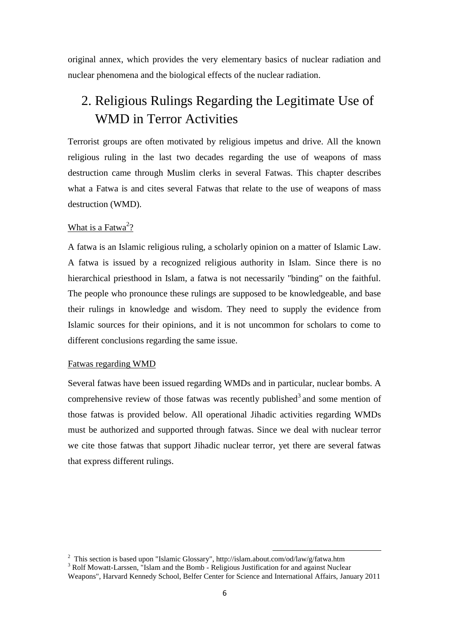original annex, which provides the very elementary basics of nuclear radiation and nuclear phenomena and the biological effects of the nuclear radiation.

## 2. Religious Rulings Regarding the Legitimate Use of WMD in Terror Activities

Terrorist groups are often motivated by religious impetus and drive. All the known religious ruling in the last two decades regarding the use of weapons of mass destruction came through Muslim clerks in several Fatwas. This chapter describes what a Fatwa is and cites several Fatwas that relate to the use of weapons of mass destruction (WMD).

### What is a Fatwa<sup>2</sup>?

A fatwa is an Islamic religious ruling, a scholarly opinion on a matter of Islamic Law. A fatwa is issued by a recognized religious authority in Islam. Since there is no hierarchical priesthood in Islam, a fatwa is not necessarily "binding" on the faithful. The people who pronounce these rulings are supposed to be knowledgeable, and base their rulings in knowledge and wisdom. They need to supply the evidence from Islamic sources for their opinions, and it is not uncommon for scholars to come to different conclusions regarding the same issue.

#### Fatwas regarding WMD

Several fatwas have been issued regarding WMDs and in particular, nuclear bombs. A comprehensive review of those fatwas was recently published<sup>3</sup> and some mention of those fatwas is provided below. All operational Jihadic activities regarding WMDs must be authorized and supported through fatwas. Since we deal with nuclear terror we cite those fatwas that support Jihadic nuclear terror, yet there are several fatwas that express different rulings.

<sup>&</sup>lt;sup>2</sup> This section is based upon "Islamic Glossary", http://islam.about.com/od/law/g/fatwa.htm <sup>3</sup> Rolf Mowatt-Larssen. "Islam and the Bomb - Religious Justification for and against Nuclear Weapons", Harvard Kennedy School, Belfer Center for Science and International Affairs, January 2011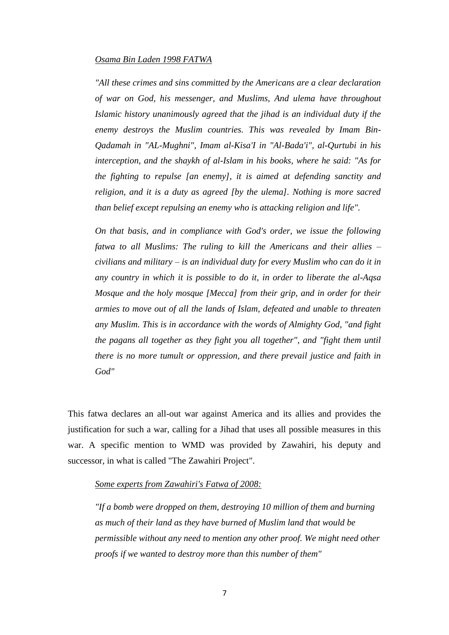#### *Osama Bin Laden 1998 FATWA*

*"All these crimes and sins committed by the Americans are a clear declaration of war on God, his messenger, and Muslims, And ulema have throughout Islamic history unanimously agreed that the jihad is an individual duty if the enemy destroys the Muslim countries. This was revealed by Imam Bin-Qadamah in "AL-Mughni", Imam al-Kisa'I in "Al-Bada'i", al-Qurtubi in his interception, and the shaykh of al-Islam in his books, where he said: "As for the fighting to repulse [an enemy], it is aimed at defending sanctity and religion, and it is a duty as agreed [by the ulema]. Nothing is more sacred than belief except repulsing an enemy who is attacking religion and life".* 

*On that basis, and in compliance with God's order, we issue the following fatwa to all Muslims: The ruling to kill the Americans and their allies – civilians and military – is an individual duty for every Muslim who can do it in any country in which it is possible to do it, in order to liberate the al-Aqsa Mosque and the holy mosque [Mecca] from their grip, and in order for their armies to move out of all the lands of Islam, defeated and unable to threaten any Muslim. This is in accordance with the words of Almighty God, "and fight the pagans all together as they fight you all together", and "fight them until there is no more tumult or oppression, and there prevail justice and faith in God"* 

This fatwa declares an all-out war against America and its allies and provides the justification for such a war, calling for a Jihad that uses all possible measures in this war. A specific mention to WMD was provided by Zawahiri, his deputy and successor, in what is called "The Zawahiri Project".

#### *Some experts from Zawahiri's Fatwa of 2008:*

*"If a bomb were dropped on them, destroying 10 million of them and burning as much of their land as they have burned of Muslim land that would be permissible without any need to mention any other proof. We might need other proofs if we wanted to destroy more than this number of them"*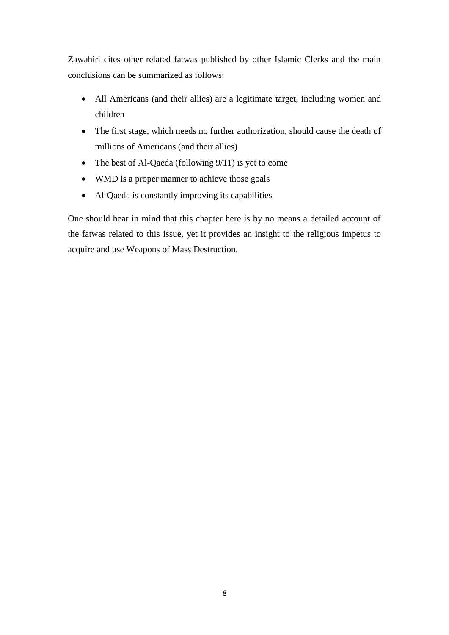Zawahiri cites other related fatwas published by other Islamic Clerks and the main conclusions can be summarized as follows:

- All Americans (and their allies) are a legitimate target, including women and children
- The first stage, which needs no further authorization, should cause the death of millions of Americans (and their allies)
- The best of Al-Qaeda (following  $9/11$ ) is yet to come
- WMD is a proper manner to achieve those goals
- Al-Qaeda is constantly improving its capabilities

One should bear in mind that this chapter here is by no means a detailed account of the fatwas related to this issue, yet it provides an insight to the religious impetus to acquire and use Weapons of Mass Destruction.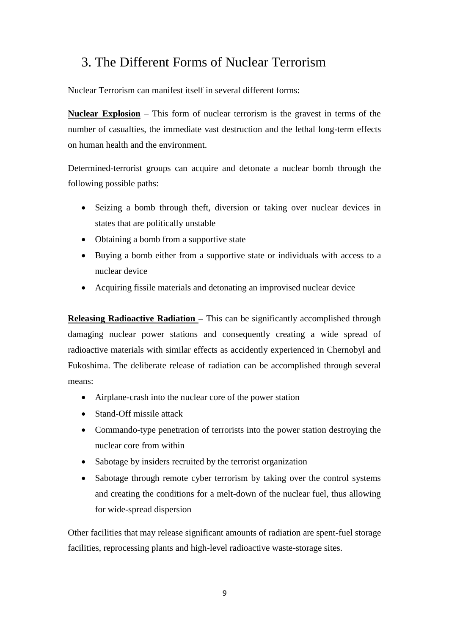## 3. The Different Forms of Nuclear Terrorism

Nuclear Terrorism can manifest itself in several different forms:

**Nuclear Explosion** – This form of nuclear terrorism is the gravest in terms of the number of casualties, the immediate vast destruction and the lethal long-term effects on human health and the environment.

Determined-terrorist groups can acquire and detonate a nuclear bomb through the following possible paths:

- Seizing a bomb through theft, diversion or taking over nuclear devices in states that are politically unstable
- Obtaining a bomb from a supportive state
- Buying a bomb either from a supportive state or individuals with access to a nuclear device
- Acquiring fissile materials and detonating an improvised nuclear device

**Releasing Radioactive Radiation – This can be significantly accomplished through** damaging nuclear power stations and consequently creating a wide spread of radioactive materials with similar effects as accidently experienced in Chernobyl and Fukoshima. The deliberate release of radiation can be accomplished through several means:

- Airplane-crash into the nuclear core of the power station
- Stand-Off missile attack
- Commando-type penetration of terrorists into the power station destroying the nuclear core from within
- Sabotage by insiders recruited by the terrorist organization
- Sabotage through remote cyber terrorism by taking over the control systems and creating the conditions for a melt-down of the nuclear fuel, thus allowing for wide-spread dispersion

Other facilities that may release significant amounts of radiation are spent-fuel storage facilities, reprocessing plants and high-level radioactive waste-storage sites.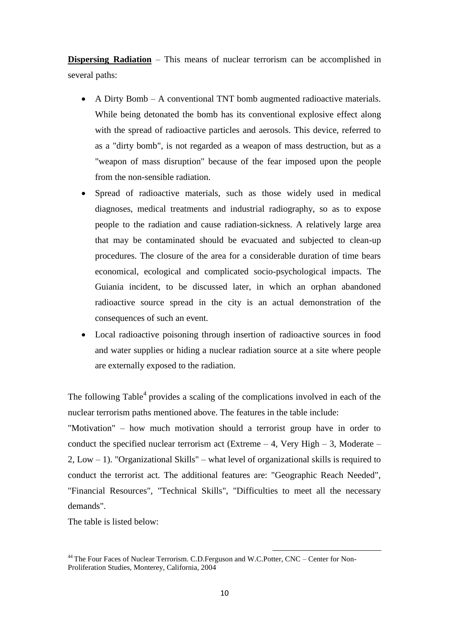**Dispersing Radiation** – This means of nuclear terrorism can be accomplished in several paths:

- A Dirty Bomb A conventional TNT bomb augmented radioactive materials. While being detonated the bomb has its conventional explosive effect along with the spread of radioactive particles and aerosols. This device, referred to as a "dirty bomb", is not regarded as a weapon of mass destruction, but as a "weapon of mass disruption" because of the fear imposed upon the people from the non-sensible radiation.
- Spread of radioactive materials, such as those widely used in medical diagnoses, medical treatments and industrial radiography, so as to expose people to the radiation and cause radiation-sickness. A relatively large area that may be contaminated should be evacuated and subjected to clean-up procedures. The closure of the area for a considerable duration of time bears economical, ecological and complicated socio-psychological impacts. The Guiania incident, to be discussed later, in which an orphan abandoned radioactive source spread in the city is an actual demonstration of the consequences of such an event.
- Local radioactive poisoning through insertion of radioactive sources in food and water supplies or hiding a nuclear radiation source at a site where people are externally exposed to the radiation.

The following Table<sup>4</sup> provides a scaling of the complications involved in each of the nuclear terrorism paths mentioned above. The features in the table include:

"Motivation" – how much motivation should a terrorist group have in order to conduct the specified nuclear terrorism act (Extreme  $-4$ , Very High  $-3$ , Moderate – 2, Low – 1). "Organizational Skills" – what level of organizational skills is required to conduct the terrorist act. The additional features are: "Geographic Reach Needed", "Financial Resources", "Technical Skills", "Difficulties to meet all the necessary demands".

The table is listed below:

<sup>&</sup>lt;sup>44</sup> The Four Faces of Nuclear Terrorism. C.D.Ferguson and W.C.Potter, CNC – Center for Non-Proliferation Studies, Monterey, California, 2004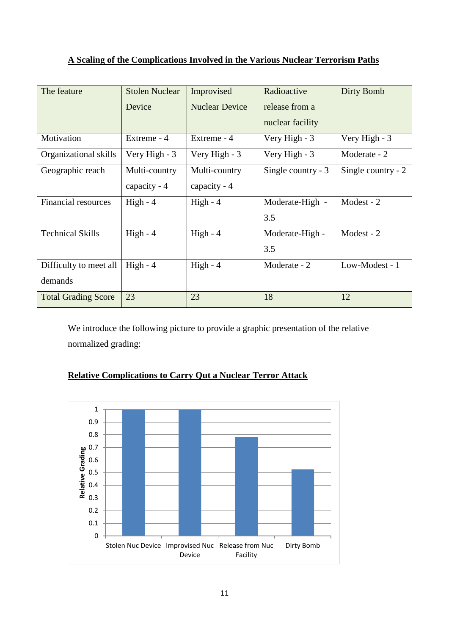## **A Scaling of the Complications Involved in the Various Nuclear Terrorism Paths**

| The feature                | <b>Stolen Nuclear</b> | Improvised            | Radioactive         | Dirty Bomb         |
|----------------------------|-----------------------|-----------------------|---------------------|--------------------|
|                            | Device                | <b>Nuclear Device</b> | release from a      |                    |
|                            |                       |                       | nuclear facility    |                    |
| Motivation                 | Extreme - 4           | Extreme - 4           | Very High - 3       | Very High - 3      |
| Organizational skills      | Very High - 3         | Very High - 3         | Very High - 3       | Moderate - 2       |
| Geographic reach           | Multi-country         | Multi-country         | Single country $-3$ | Single country - 2 |
|                            | capacity - 4          | capacity - 4          |                     |                    |
| Financial resources        | $High - 4$            | $High - 4$            | Moderate-High -     | Modest - 2         |
|                            |                       |                       | 3.5                 |                    |
| <b>Technical Skills</b>    | $High - 4$            | $High - 4$            | Moderate-High -     | Modest - 2         |
|                            |                       |                       | 3.5                 |                    |
| Difficulty to meet all     | $High - 4$            | $High - 4$            | Moderate - 2        | Low-Modest - 1     |
| demands                    |                       |                       |                     |                    |
| <b>Total Grading Score</b> | 23                    | 23                    | 18                  | 12                 |

We introduce the following picture to provide a graphic presentation of the relative normalized grading:

## 0.5 0.6 0.7 0.8 0.9 1

**Relative Complications to Carry Qut a Nuclear Terror Attack**

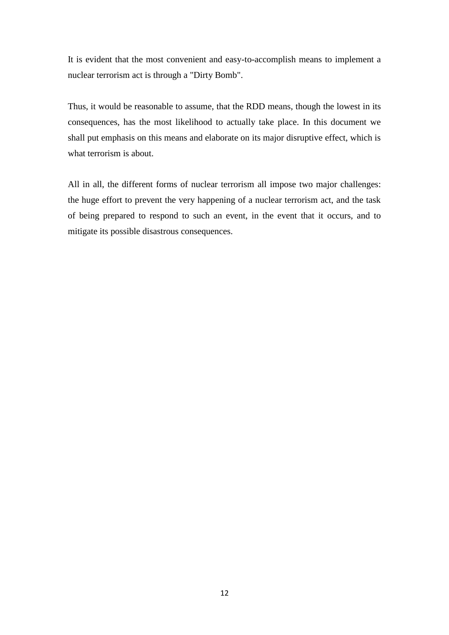It is evident that the most convenient and easy-to-accomplish means to implement a nuclear terrorism act is through a "Dirty Bomb".

Thus, it would be reasonable to assume, that the RDD means, though the lowest in its consequences, has the most likelihood to actually take place. In this document we shall put emphasis on this means and elaborate on its major disruptive effect, which is what terrorism is about.

All in all, the different forms of nuclear terrorism all impose two major challenges: the huge effort to prevent the very happening of a nuclear terrorism act, and the task of being prepared to respond to such an event, in the event that it occurs, and to mitigate its possible disastrous consequences.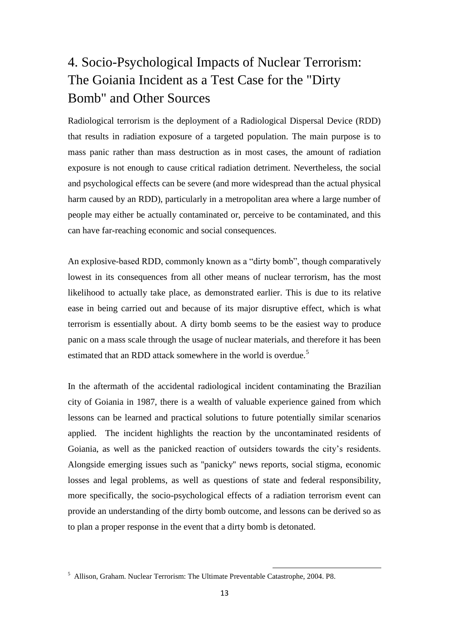# 4. Socio-Psychological Impacts of Nuclear Terrorism: The Goiania Incident as a Test Case for the "Dirty Bomb" and Other Sources

Radiological terrorism is the deployment of a Radiological Dispersal Device (RDD) that results in radiation exposure of a targeted population. The main purpose is to mass panic rather than mass destruction as in most cases, the amount of radiation exposure is not enough to cause critical radiation detriment. Nevertheless, the social and psychological effects can be severe (and more widespread than the actual physical harm caused by an RDD), particularly in a metropolitan area where a large number of people may either be actually contaminated or, perceive to be contaminated, and this can have far-reaching economic and social consequences.

An explosive-based RDD, commonly known as a "dirty bomb", though comparatively lowest in its consequences from all other means of nuclear terrorism, has the most likelihood to actually take place, as demonstrated earlier. This is due to its relative ease in being carried out and because of its major disruptive effect, which is what terrorism is essentially about. A dirty bomb seems to be the easiest way to produce panic on a mass scale through the usage of nuclear materials, and therefore it has been estimated that an RDD attack somewhere in the world is overdue.<sup>5</sup>

In the aftermath of the accidental radiological incident contaminating the Brazilian city of Goiania in 1987, there is a wealth of valuable experience gained from which lessons can be learned and practical solutions to future potentially similar scenarios applied. The incident highlights the reaction by the uncontaminated residents of Goiania, as well as the panicked reaction of outsiders towards the city's residents. Alongside emerging issues such as ''panicky'' news reports, social stigma, economic losses and legal problems, as well as questions of state and federal responsibility, more specifically, the socio-psychological effects of a radiation terrorism event can provide an understanding of the dirty bomb outcome, and lessons can be derived so as to plan a proper response in the event that a dirty bomb is detonated.

<sup>5</sup> Allison, Graham. Nuclear Terrorism: The Ultimate Preventable Catastrophe, 2004. P8.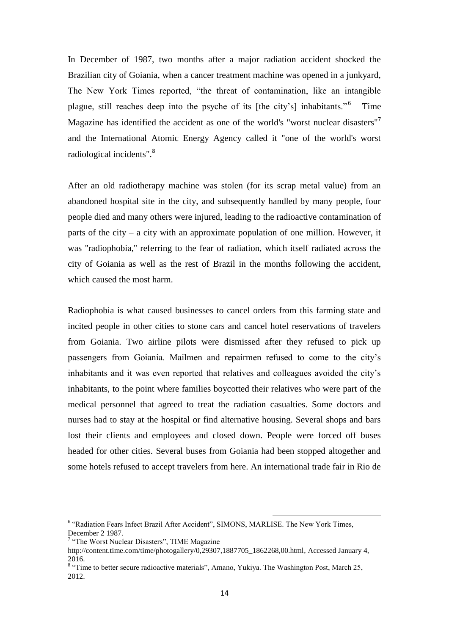In December of 1987, two months after a major radiation accident shocked the Brazilian city of Goiania, when a cancer treatment machine was opened in a junkyard, The New York Times reported, "the threat of contamination, like an intangible plague, still reaches deep into the psyche of its [the city's] inhabitants." <sup>6</sup> Time Magazine has identified the accident as one of the world's "worst nuclear disasters"<sup>7</sup> and the International Atomic Energy Agency called it "one of the world's worst radiological incidents".<sup>8</sup>

After an old radiotherapy machine was stolen (for its scrap metal value) from an abandoned hospital site in the city, and subsequently handled by many people, four people died and many others were injured, leading to the radioactive contamination of parts of the city – a city with an approximate population of one million. However, it was ''radiophobia,'' referring to the fear of radiation, which itself radiated across the city of Goiania as well as the rest of Brazil in the months following the accident, which caused the most harm.

Radiophobia is what caused businesses to cancel orders from this farming state and incited people in other cities to stone cars and cancel hotel reservations of travelers from Goiania. Two airline pilots were dismissed after they refused to pick up passengers from Goiania. Mailmen and repairmen refused to come to the city's inhabitants and it was even reported that relatives and colleagues avoided the city's inhabitants, to the point where families boycotted their relatives who were part of the medical personnel that agreed to treat the radiation casualties. Some doctors and nurses had to stay at the hospital or find alternative housing. Several shops and bars lost their clients and employees and closed down. People were forced off buses headed for other cities. Several buses from Goiania had been stopped altogether and some hotels refused to accept travelers from here. An international trade fair in Rio de

<sup>&</sup>lt;sup>6</sup> "Radiation Fears Infect Brazil After Accident", SIMONS, MARLISE. The New York Times, December 2 1987.

<sup>&</sup>lt;sup>7</sup> "The Worst Nuclear Disasters", TIME Magazine

[http://content.time.com/time/photogallery/0,29307,1887705\\_1862268,00.html,](http://content.time.com/time/photogallery/0,29307,1887705_1862268,00.html) Accessed January 4, 2016.

<sup>&</sup>lt;sup>8</sup> "Time to better secure radioactive materials", Amano, Yukiya. The Washington Post, March 25, 2012.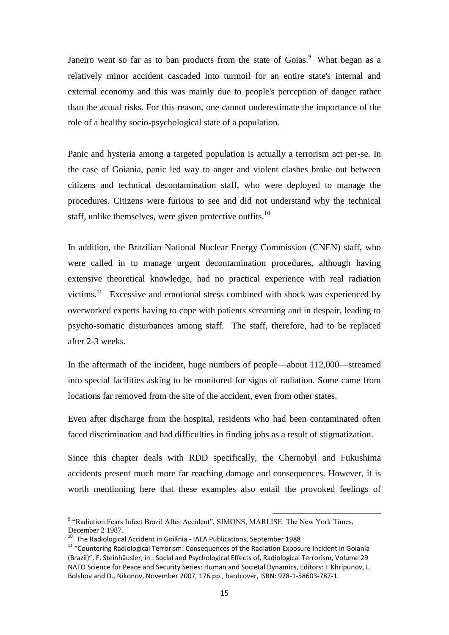Janeiro went so far as to ban products from the state of Goias.<sup>9</sup> What began as a relatively minor accident cascaded into turmoil for an entire state's internal and external economy and this was mainly due to people's perception of danger rather than the actual risks. For this reason, one cannot underestimate the importance of the role of a healthy socio-psychological state of a population.

Panic and hysteria among a targeted population is actually a terrorism act per-se. In the case of Goiania, panic led way to anger and violent clashes broke out between citizens and technical decontamination staff, who were deployed to manage the procedures. Citizens were furious to see and did not understand why the technical staff, unlike themselves, were given protective outfits.<sup>10</sup>

In addition, the Brazilian National Nuclear Energy Commission (CNEN) staff, who were called in to manage urgent decontamination procedures, although having extensive theoretical knowledge, had no practical experience with real radiation victims.<sup>11</sup> Excessive and emotional stress combined with shock was experienced by overworked experts having to cope with patients screaming and in despair, leading to psycho-somatic disturbances among staff. The staff, therefore, had to be replaced after 2-3 weeks.

In the aftermath of the incident, huge numbers of people—about 112,000—streamed into special facilities asking to be monitored for signs of radiation. Some came from locations far removed from the site of the accident, even from other states.

Even after discharge from the hospital, residents who had been contaminated often faced discrimination and had difficulties in finding jobs as a result of stigmatization.

Since this chapter deals with RDD specifically, the Chernobyl and Fukushima accidents present much more far reaching damage and consequences. However, it is worth mentioning here that these examples also entail the provoked feelings of

<sup>&</sup>lt;sup>9</sup> "Radiation Fears Infect Brazil After Accident", SIMONS, MARLISE. The New York Times, December 2 1987.

 $10$  The Radiological Accident in Goiânia - IAEA Publications, September 1988

<sup>11</sup> "Countering Radiological Terrorism: Consequences of the Radiation Exposure Incident in Goiania (Brazil)", F. Steinhäusler, in : Social and Psychological Effects of, Radiological Terrorism, Volume 29 NATO Science for Peace and Security Series: Human and Societal Dynamics, Editors: I. Khripunov, L. Bolshov and D., Nikonov, November 2007, 176 pp., hardcover, ISBN: 978-1-58603-787-1.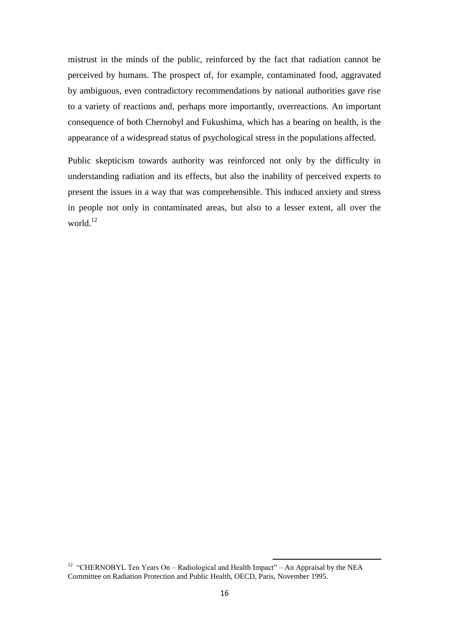mistrust in the minds of the public, reinforced by the fact that radiation cannot be perceived by humans. The prospect of, for example, contaminated food, aggravated by ambiguous, even contradictory recommendations by national authorities gave rise to a variety of reactions and, perhaps more importantly, overreactions. An important consequence of both Chernobyl and Fukushima, which has a bearing on health, is the appearance of a widespread status of psychological stress in the populations affected.

Public skepticism towards authority was reinforced not only by the difficulty in understanding radiation and its effects, but also the inability of perceived experts to present the issues in a way that was comprehensible. This induced anxiety and stress in people not only in contaminated areas, but also to a lesser extent, all over the world.<sup>12</sup>

<sup>&</sup>lt;sup>12</sup> "CHERNOBYL Ten Years On – Radiological and Health Impact" – An Appraisal by the NEA Committee on Radiation Protection and Public Health, OECD, Paris, November 1995.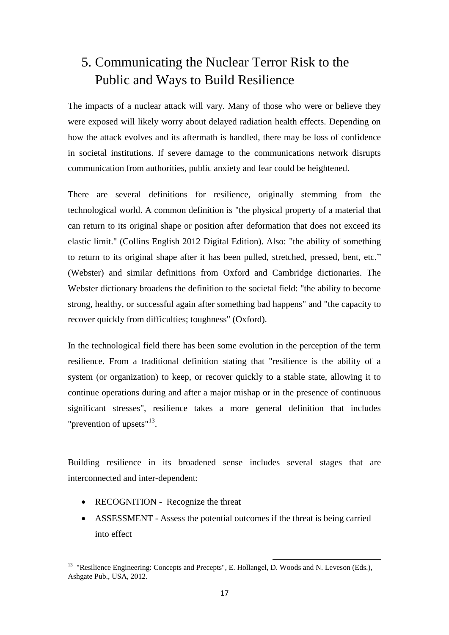# 5. Communicating the Nuclear Terror Risk to the Public and Ways to Build Resilience

The impacts of a nuclear attack will vary. Many of those who were or believe they were exposed will likely worry about delayed radiation health effects. Depending on how the attack evolves and its aftermath is handled, there may be loss of confidence in societal institutions. If severe damage to the communications network disrupts communication from authorities, public anxiety and fear could be heightened.

There are several definitions for resilience, originally stemming from the technological world. A common definition is "the physical property of a material that can return to its original shape or position after deformation that does not exceed its elastic limit." (Collins English 2012 Digital Edition). Also: "the ability of something to return to its original shape after it has been pulled, stretched, pressed, bent, etc." (Webster) and similar definitions from Oxford and Cambridge dictionaries. The Webster dictionary broadens the definition to the societal field: "the ability to become strong, healthy, or successful again after something bad happens" and "the capacity to [recover](http://www.oxforddictionaries.com/definition/english/recover#recover__2) quickly from difficulties; [toughness"](http://www.oxforddictionaries.com/definition/english/tough#tough__2) (Oxford).

In the technological field there has been some evolution in the perception of the term resilience. From a traditional definition stating that "resilience is the ability of a system (or organization) to keep, or recover quickly to a stable state, allowing it to continue operations during and after a major mishap or in the presence of continuous significant stresses", resilience takes a more general definition that includes "prevention of upsets"<sup>13</sup>.

Building resilience in its broadened sense includes several stages that are interconnected and inter-dependent:

- RECOGNITION Recognize the threat
- ASSESSMENT Assess the potential outcomes if the threat is being carried into effect

<sup>1</sup> <sup>13</sup> "Resilience Engineering: Concepts and Precepts", E. Hollangel, D. Woods and N. Leveson (Eds.), Ashgate Pub., USA, 2012.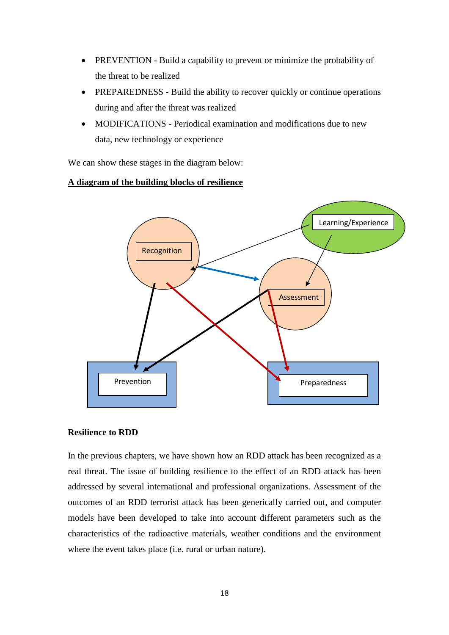- PREVENTION Build a capability to prevent or minimize the probability of the threat to be realized
- PREPAREDNESS Build the ability to recover quickly or continue operations during and after the threat was realized
- MODIFICATIONS Periodical examination and modifications due to new data, new technology or experience

We can show these stages in the diagram below:

#### **A diagram of the building blocks of resilience**



#### **Resilience to RDD**

In the previous chapters, we have shown how an RDD attack has been recognized as a real threat. The issue of building resilience to the effect of an RDD attack has been addressed by several international and professional organizations. Assessment of the outcomes of an RDD terrorist attack has been generically carried out, and computer models have been developed to take into account different parameters such as the characteristics of the radioactive materials, weather conditions and the environment where the event takes place (i.e. rural or urban nature).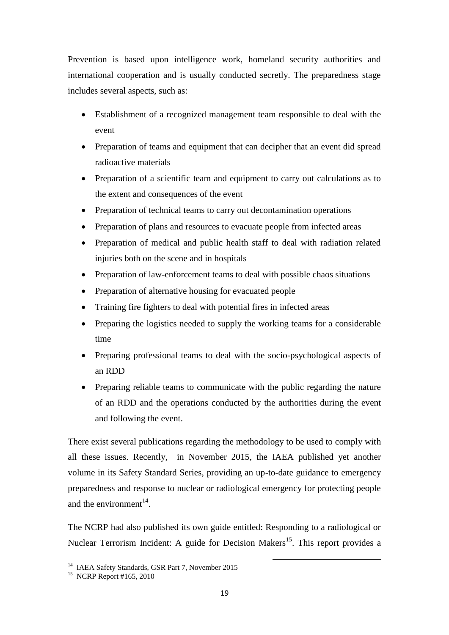Prevention is based upon intelligence work, homeland security authorities and international cooperation and is usually conducted secretly. The preparedness stage includes several aspects, such as:

- Establishment of a recognized management team responsible to deal with the event
- Preparation of teams and equipment that can decipher that an event did spread radioactive materials
- Preparation of a scientific team and equipment to carry out calculations as to the extent and consequences of the event
- Preparation of technical teams to carry out decontamination operations
- Preparation of plans and resources to evacuate people from infected areas
- Preparation of medical and public health staff to deal with radiation related injuries both on the scene and in hospitals
- Preparation of law-enforcement teams to deal with possible chaos situations
- Preparation of alternative housing for evacuated people
- Training fire fighters to deal with potential fires in infected areas
- Preparing the logistics needed to supply the working teams for a considerable time
- Preparing professional teams to deal with the socio-psychological aspects of an RDD
- Preparing reliable teams to communicate with the public regarding the nature of an RDD and the operations conducted by the authorities during the event and following the event.

There exist several publications regarding the methodology to be used to comply with all these issues. Recently, in November 2015, the IAEA published yet another volume in its Safety Standard Series, providing an up-to-date guidance to emergency preparedness and response to nuclear or radiological emergency for protecting people and the environment $^{14}$ .

The NCRP had also published its own guide entitled: Responding to a radiological or Nuclear Terrorism Incident: A guide for Decision Makers<sup>15</sup>. This report provides a

<sup>&</sup>lt;sup>14</sup> IAEA Safety Standards, GSR Part 7, November 2015

<sup>&</sup>lt;sup>15</sup> NCRP Report #165, 2010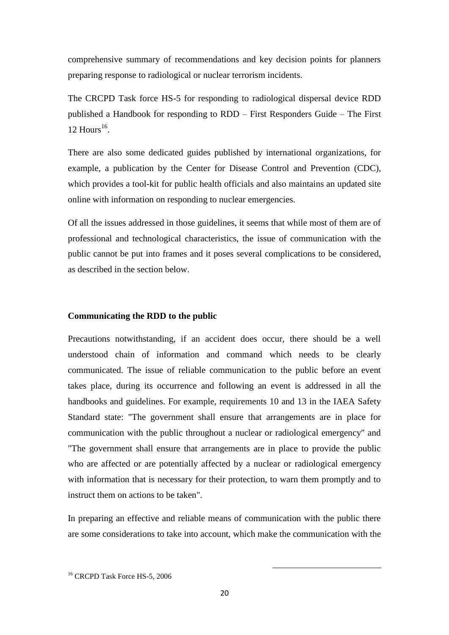comprehensive summary of recommendations and key decision points for planners preparing response to radiological or nuclear terrorism incidents.

The CRCPD Task force HS-5 for responding to radiological dispersal device RDD published a Handbook for responding to RDD – First Responders Guide – The First  $12$  Hours<sup>16</sup>.

There are also some dedicated guides published by international organizations, for example, a publication by the Center for Disease Control and Prevention (CDC), which provides a tool-kit for public health officials and also maintains an updated site online with information on responding to nuclear emergencies.

Of all the issues addressed in those guidelines, it seems that while most of them are of professional and technological characteristics, the issue of communication with the public cannot be put into frames and it poses several complications to be considered, as described in the section below.

#### **Communicating the RDD to the public**

Precautions notwithstanding, if an accident does occur, there should be a well understood chain of information and command which needs to be clearly communicated. The issue of reliable communication to the public before an event takes place, during its occurrence and following an event is addressed in all the handbooks and guidelines. For example, requirements 10 and 13 in the IAEA Safety Standard state: "The government shall ensure that arrangements are in place for communication with the public throughout a nuclear or radiological emergency" and "The government shall ensure that arrangements are in place to provide the public who are affected or are potentially affected by a nuclear or radiological emergency with information that is necessary for their protection, to warn them promptly and to instruct them on actions to be taken".

In preparing an effective and reliable means of communication with the public there are some considerations to take into account, which make the communication with the

<sup>&</sup>lt;sup>16</sup> CRCPD Task Force HS-5, 2006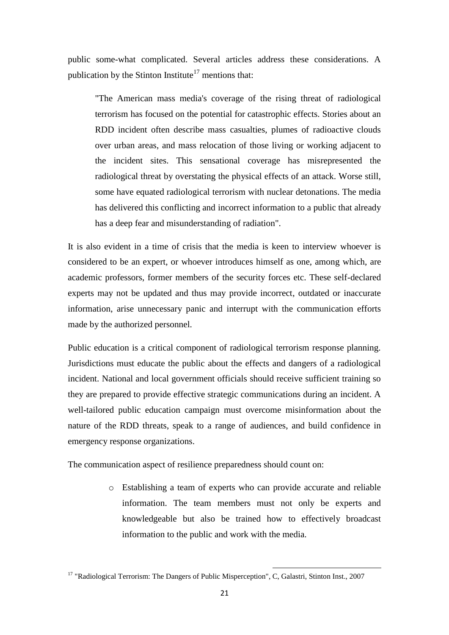public some-what complicated. Several articles address these considerations. A publication by the Stinton Institute<sup>17</sup> mentions that:

"The American mass media's coverage of the rising threat of radiological terrorism has focused on the potential for catastrophic effects. Stories about an RDD incident often describe mass casualties, plumes of radioactive clouds over urban areas, and mass relocation of those living or working adjacent to the incident sites. This sensational coverage has misrepresented the radiological threat by overstating the physical effects of an attack. Worse still, some have equated radiological terrorism with nuclear detonations. The media has delivered this conflicting and incorrect information to a public that already has a deep fear and misunderstanding of radiation".

It is also evident in a time of crisis that the media is keen to interview whoever is considered to be an expert, or whoever introduces himself as one, among which, are academic professors, former members of the security forces etc. These self-declared experts may not be updated and thus may provide incorrect, outdated or inaccurate information, arise unnecessary panic and interrupt with the communication efforts made by the authorized personnel.

Public education is a critical component of radiological terrorism response planning. Jurisdictions must educate the public about the effects and dangers of a radiological incident. National and local government officials should receive sufficient training so they are prepared to provide effective strategic communications during an incident. A well-tailored public education campaign must overcome misinformation about the nature of the RDD threats, speak to a range of audiences, and build confidence in emergency response organizations.

The communication aspect of resilience preparedness should count on:

o Establishing a team of experts who can provide accurate and reliable information. The team members must not only be experts and knowledgeable but also be trained how to effectively broadcast information to the public and work with the media.

<sup>&</sup>lt;sup>17</sup> "Radiological Terrorism: The Dangers of Public Misperception", C, Galastri, Stinton Inst., 2007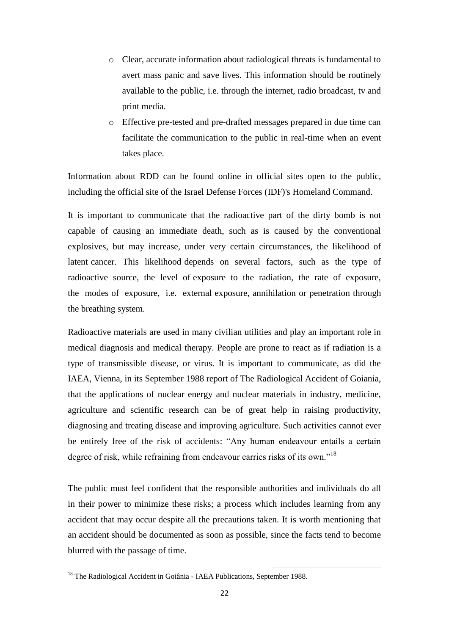- o Clear, accurate information about radiological threats is fundamental to avert mass panic and save lives. This information should be routinely available to the public, i.e. through the internet, radio broadcast, tv and print media.
- o Effective pre-tested and pre-drafted messages prepared in due time can facilitate the communication to the public in real-time when an event takes place.

Information about RDD can be found online in official sites open to the public, including the official site of the Israel Defense Forces (IDF)'s Homeland Command.

It is important to communicate that the radioactive part of the dirty bomb is not capable of causing an immediate death, such as is caused by the conventional explosives, but may increase, under very certain circumstances, the likelihood of latent cancer. This likelihood depends on several factors, such as the type of radioactive source, the level of exposure to the radiation, the rate of exposure, the modes of exposure, i.e. external exposure, annihilation or penetration through the breathing system.

Radioactive materials are used in many civilian utilities and play an important role in medical diagnosis and medical therapy. People are prone to react as if radiation is a type of transmissible disease, or virus. It is important to communicate, as did the IAEA, Vienna, in its September 1988 report of The Radiological Accident of Goiania, that the applications of nuclear energy and nuclear materials in industry, medicine, agriculture and scientific research can be of great help in raising productivity, diagnosing and treating disease and improving agriculture. Such activities cannot ever be entirely free of the risk of accidents: "Any human endeavour entails a certain degree of risk, while refraining from endeavour carries risks of its own."<sup>18</sup>

The public must feel confident that the responsible authorities and individuals do all in their power to minimize these risks; a process which includes learning from any accident that may occur despite all the precautions taken. It is worth mentioning that an accident should be documented as soon as possible, since the facts tend to become blurred with the passage of time.

<sup>&</sup>lt;sup>18</sup> The Radiological Accident in Goiânia - IAEA Publications, September 1988.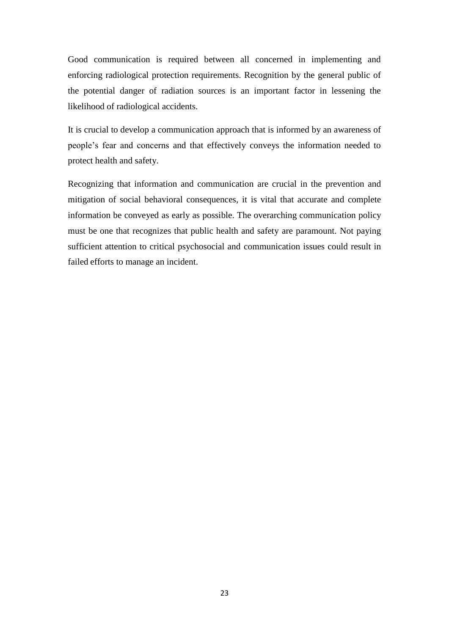Good communication is required between all concerned in implementing and enforcing radiological protection requirements. Recognition by the general public of the potential danger of radiation sources is an important factor in lessening the likelihood of radiological accidents.

It is crucial to develop a communication approach that is informed by an awareness of people's fear and concerns and that effectively conveys the information needed to protect health and safety.

Recognizing that information and communication are crucial in the prevention and mitigation of social behavioral consequences, it is vital that accurate and complete information be conveyed as early as possible. The overarching communication policy must be one that recognizes that public health and safety are paramount. Not paying sufficient attention to critical psychosocial and communication issues could result in failed efforts to manage an incident.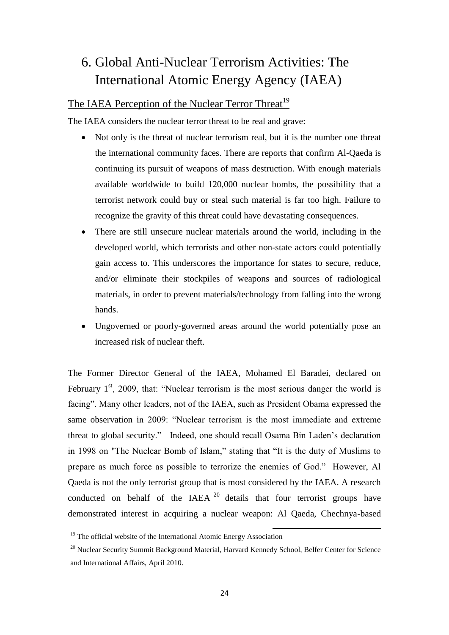# 6. Global Anti-Nuclear Terrorism Activities: The International Atomic Energy Agency (IAEA)

## The IAEA Perception of the Nuclear Terror Threat<sup>19</sup>

The IAEA considers the nuclear terror threat to be real and grave:

- Not only is the threat of nuclear terrorism real, but it is the number one threat the international community faces. There are reports that confirm Al-Qaeda is continuing its pursuit of weapons of mass destruction. With enough materials available worldwide to build 120,000 nuclear bombs, the possibility that a terrorist network could buy or steal such material is far too high. Failure to recognize the gravity of this threat could have devastating consequences.
- There are still unsecure nuclear materials around the world, including in the developed world, which terrorists and other non-state actors could potentially gain access to. This underscores the importance for states to secure, reduce, and/or eliminate their stockpiles of weapons and sources of radiological materials, in order to prevent materials/technology from falling into the wrong hands.
- Ungoverned or poorly-governed areas around the world potentially pose an increased risk of nuclear theft.

The Former Director General of the IAEA, Mohamed El Baradei, declared on February  $1<sup>st</sup>$ , 2009, that: "Nuclear terrorism is the most serious danger the world is facing". Many other leaders, not of the IAEA, such as President Obama expressed the same observation in 2009: "Nuclear terrorism is the most immediate and extreme threat to global security." Indeed, one should recall Osama Bin Laden's declaration in 1998 on "The Nuclear Bomb of Islam," stating that "It is the duty of Muslims to prepare as much force as possible to terrorize the enemies of God." However, Al Qaeda is not the only terrorist group that is most considered by the IAEA. A research conducted on behalf of the IAEA  $20$  details that four terrorist groups have demonstrated interest in acquiring a nuclear weapon: Al Qaeda, Chechnya-based

 $19$  The official website of the International Atomic Energy Association

<sup>&</sup>lt;sup>20</sup> Nuclear Security Summit Background Material, Harvard Kennedy School, Belfer Center for Science and International Affairs, April 2010.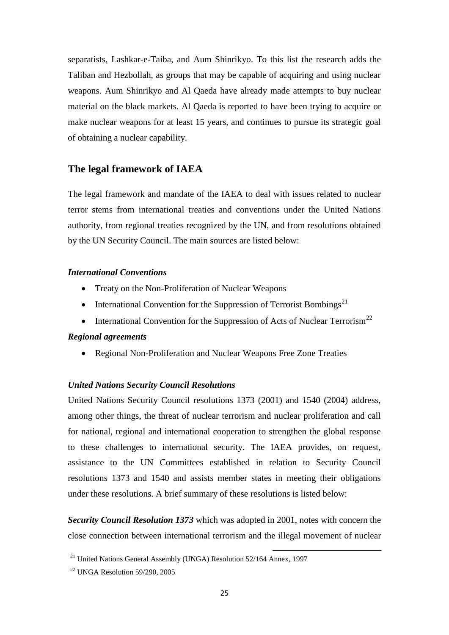separatists, Lashkar-e-Taiba, and Aum Shinrikyo. To this list the research adds the Taliban and Hezbollah, as groups that may be capable of acquiring and using nuclear weapons. Aum Shinrikyo and Al Qaeda have already made attempts to buy nuclear material on the black markets. Al Qaeda is reported to have been trying to acquire or make nuclear weapons for at least 15 years, and continues to pursue its strategic goal of obtaining a nuclear capability.

### **The legal framework of IAEA**

The legal framework and mandate of the IAEA to deal with issues related to nuclear terror stems from international treaties and conventions under the United Nations authority, from regional treaties recognized by the UN, and from resolutions obtained by the UN Security Council. The main sources are listed below:

#### *International Conventions*

- Treaty on the Non-Proliferation of Nuclear Weapons
- International Convention for the Suppression of Terrorist Bombings<sup>21</sup>
- International Convention for the Suppression of Acts of Nuclear Terrorism<sup>22</sup>

#### *Regional agreements*

Regional Non-Proliferation and Nuclear Weapons Free Zone Treaties

#### *United Nations Security Council Resolutions*

United Nations Security Council resolutions 1373 (2001) and 1540 (2004) address, among other things, the threat of nuclear terrorism and nuclear proliferation and call for national, regional and international cooperation to strengthen the global response to these challenges to international security. The IAEA provides, on request, assistance to the UN Committees established in relation to Security Council resolutions 1373 and 1540 and assists member states in meeting their obligations under these resolutions. A brief summary of these resolutions is listed below:

*Security Council Resolution 1373* which was adopted in 2001, notes with concern the close connection between international terrorism and the illegal movement of nuclear

<sup>&</sup>lt;sup>21</sup> United Nations General Assembly (UNGA) Resolution 52/164 Annex, 1997

<sup>22</sup> UNGA Resolution 59/290, 2005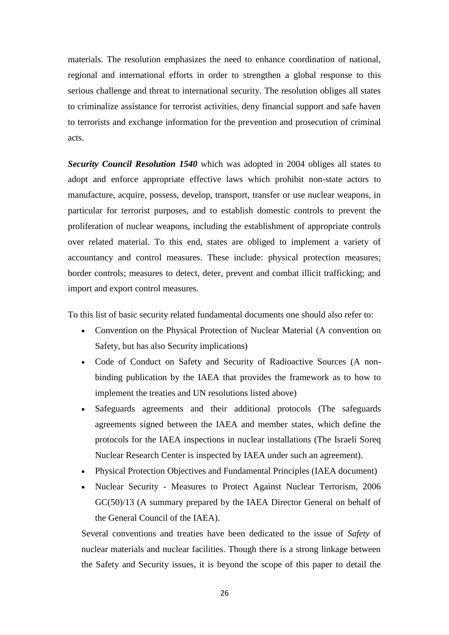materials. The resolution emphasizes the need to enhance coordination of national, regional and international efforts in order to strengthen a global response to this serious challenge and threat to international security. The resolution obliges all states to criminalize assistance for terrorist activities, deny financial support and safe haven to terrorists and exchange information for the prevention and prosecution of criminal acts.

*[Security Council Resolution 1540](http://www-ns.iaea.org/downloads/conventions-codes-resolutions/unsr-1540-2004.pdf)* which was adopted in 2004 obliges all states to adopt and enforce appropriate effective laws which prohibit non-state actors to manufacture, acquire, possess, develop, transport, transfer or use nuclear weapons, in particular for terrorist purposes, and to establish domestic controls to prevent the proliferation of nuclear weapons, including the establishment of appropriate controls over related material. To this end, states are obliged to implement a variety of accountancy and control measures. These include: physical protection measures; border controls; measures to detect, deter, prevent and combat illicit trafficking; and import and export control measures.

To this list of basic security related fundamental documents one should also refer to:

- [Convention on the Physical Protection of Nuclear Material](http://www-ns.iaea.org/conventions/physical-protection.asp?s=6&l=42) (A convention on Safety, but has also Security implications)
- [Code of Conduct on Safety and Security of Radioactive Sources](http://www-ns.iaea.org/tech-areas/radiation-safety/code-of-conduct.asp?s=3) (A nonbinding publication by the IAEA that provides the framework as to how to implement the treaties and UN resolutions listed above)
- [Safeguards agreements and their additional protocols \(](http://www.iaea.org/OurWork/SV/Safeguards/sv.html)The safeguards agreements signed between the IAEA and member states, which define the protocols for the IAEA inspections in nuclear installations (The Israeli Soreq Nuclear Research Center is inspected by IAEA under such an agreement).
- [Physical Protection Objectives and Fundamental Principles](http://www.iaea.org/About/Policy/GC/GC45/Documents/gc45inf-14.pdf) (IAEA document)
- Nuclear Security [Measures to Protect Against Nuclear Terrorism, 2006](http://www.iaea.org/About/Policy/GC/GC50/GC50Documents/English/gc50-13_en.pdf)  [GC\(50\)/13](http://www.iaea.org/About/Policy/GC/GC50/GC50Documents/English/gc50-13_en.pdf) (A summary prepared by the IAEA Director General on behalf of the General Council of the IAEA).

Several conventions and treaties have been dedicated to the issue of *Safety* of nuclear materials and nuclear facilities. Though there is a strong linkage between the Safety and Security issues, it is beyond the scope of this paper to detail the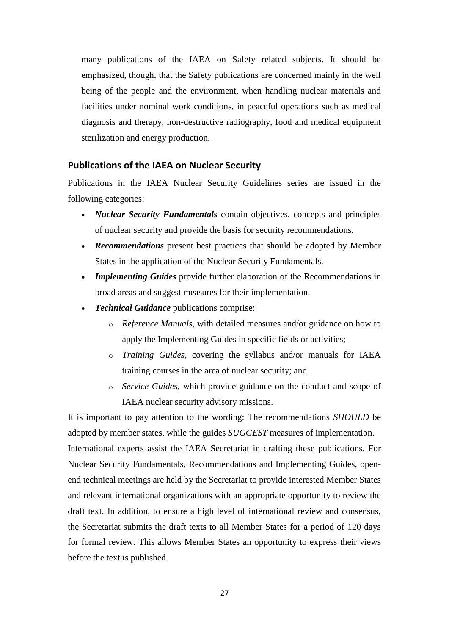many publications of the IAEA on Safety related subjects. It should be emphasized, though, that the Safety publications are concerned mainly in the well being of the people and the environment, when handling nuclear materials and facilities under nominal work conditions, in peaceful operations such as medical diagnosis and therapy, non-destructive radiography, food and medical equipment sterilization and energy production.

#### **Publications of the IAEA on Nuclear Security**

Publications in the IAEA Nuclear Security Guidelines series are issued in the following categories:

- *Nuclear Security Fundamentals* contain objectives, concepts and principles of nuclear security and provide the basis for security recommendations.
- *Recommendations* present best practices that should be adopted by Member States in the application of the Nuclear Security Fundamentals.
- *Implementing Guides* provide further elaboration of the Recommendations in broad areas and suggest measures for their implementation.
- *Technical Guidance* publications comprise:
	- o *Reference Manuals*, with detailed measures and/or guidance on how to apply the Implementing Guides in specific fields or activities;
	- o *Training Guides*, covering the syllabus and/or manuals for IAEA training courses in the area of nuclear security; and
	- o *Service Guides*, which provide guidance on the conduct and scope of IAEA nuclear security advisory missions.

It is important to pay attention to the wording: The recommendations *SHOULD* be adopted by member states, while the guides *SUGGEST* measures of implementation. International experts assist the IAEA Secretariat in drafting these publications. For Nuclear Security Fundamentals, Recommendations and Implementing Guides, openend technical meetings are held by the Secretariat to provide interested Member States and relevant international organizations with an appropriate opportunity to review the draft text. In addition, to ensure a high level of international review and consensus, the Secretariat submits the draft texts to all Member States for a period of 120 days for formal review. This allows Member States an opportunity to express their views before the text is published.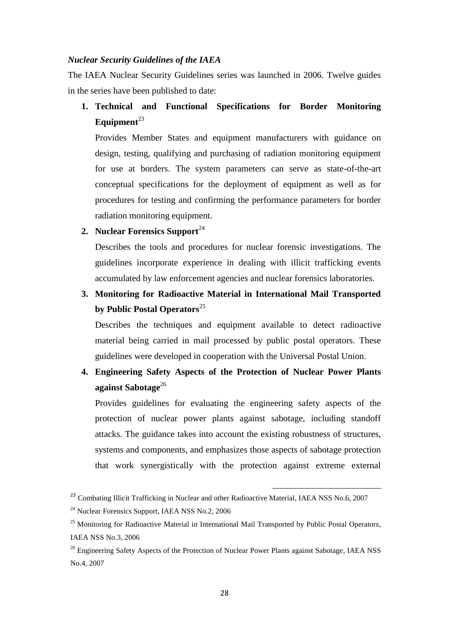#### *Nuclear Security Guidelines of the IAEA*

The IAEA Nuclear Security Guidelines series was launched in 2006. Twelve guides in the series have been published to date:

**1. Technical and Functional Specifications for Border Monitoring**  Equipment<sup>23</sup>

Provides Member States and equipment manufacturers with guidance on design, testing, qualifying and purchasing of radiation monitoring equipment for use at borders. The system parameters can serve as state-of-the-art conceptual specifications for the deployment of equipment as well as for procedures for testing and confirming the performance parameters for border radiation monitoring equipment.

#### **2. [Nuclear Forensics Support](http://www-pub.iaea.org/MTCD/publications/PubDetails.asp?pubId=7401)**<sup>24</sup>

Describes the tools and procedures for nuclear forensic investigations. The guidelines incorporate experience in dealing with illicit trafficking events accumulated by law enforcement agencies and nuclear forensics laboratories.

**3. [Monitoring for Radioactive Material in International Mail Transported](http://www-pub.iaea.org/MTCD/publications/PubDetails.asp?pubId=7402)  [by Public Postal Operators](http://www-pub.iaea.org/MTCD/publications/PubDetails.asp?pubId=7402)**<sup>25</sup>

Describes the techniques and equipment available to detect radioactive material being carried in mail processed by public postal operators. These guidelines were developed in cooperation with the Universal Postal Union.

**4. [Engineering Safety Aspects of the Protection of Nuclear Power Plants](http://www-pub.iaea.org/MTCD/publications/PubDetails.asp?pubId=7574)**  [against Sabotage](http://www-pub.iaea.org/MTCD/publications/PubDetails.asp?pubId=7574)<sup>26</sup>

Provides guidelines for evaluating the engineering safety aspects of the protection of nuclear power plants against sabotage, including standoff attacks. The guidance takes into account the existing robustness of structures, systems and components, and emphasizes those aspects of sabotage protection that work synergistically with the protection against extreme external

<sup>&</sup>lt;sup>23</sup> Combating Illicit Trafficking in Nuclear and other Radioactive Material, IAEA NSS No.6, 2007

<sup>2</sup>[4](http://www-pub.iaea.org/MTCD/publications/PubDetails.asp?pubId=7401) [Nuclear Forensics Support,](http://www-pub.iaea.org/MTCD/publications/PubDetails.asp?pubId=7401) IAEA NSS No.2, 2006

<sup>&</sup>lt;sup>2[5](http://www-pub.iaea.org/MTCD/publications/PubDetails.asp?pubId=7402)</sup> [Monitoring for Radioactive Material in International Mail Transported by Public Postal Operators,](http://www-pub.iaea.org/MTCD/publications/PubDetails.asp?pubId=7402) IAEA NSS No.3, 2006

<sup>&</sup>lt;sup>2[6](http://www-pub.iaea.org/MTCD/publications/PubDetails.asp?pubId=7574)</sup> [Engineering Safety Aspects of the Protection of Nuclear Power Plants against Sabotage,](http://www-pub.iaea.org/MTCD/publications/PubDetails.asp?pubId=7574) IAEA NSS No.4, 2007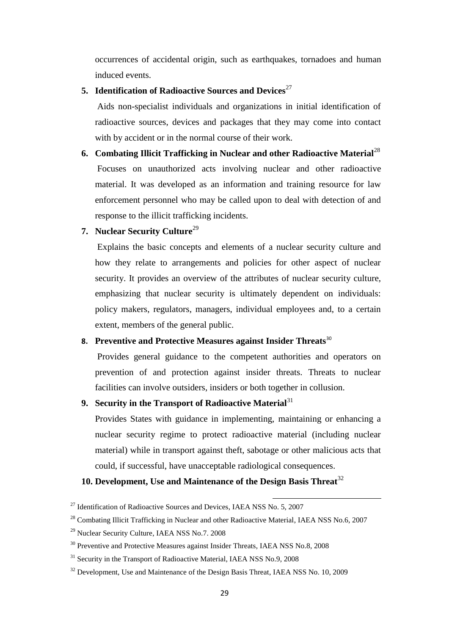occurrences of accidental origin, such as earthquakes, tornadoes and human induced events.

## **5. [Identification of Radioactive Sources and Devices](http://www-pub.iaea.org/MTCD/publications/PubDetails.asp?pubId=7567)**<sup>27</sup>

Aids non-specialist individuals and organizations in initial identification of radioactive sources, devices and packages that they may come into contact with by accident or in the normal course of their work.

**6. Combating Illicit Trafficking in Nuclear and other Radioactive Material**<sup>28</sup> Focuses on unauthorized acts involving nuclear and other radioactive material. It was developed as an information and training resource for law enforcement personnel who may be called upon to deal with detection of and response to the illicit trafficking incidents.

#### **7. [Nuclear Security Culture](http://www-pub.iaea.org/MTCD/publications/PubDetails.asp?pubId=7977)**<sup>29</sup>

Explains the basic concepts and elements of a nuclear security culture and how they relate to arrangements and policies for other aspect of nuclear security. It provides an overview of the attributes of nuclear security culture, emphasizing that nuclear security is ultimately dependent on individuals: policy makers, regulators, managers, individual employees and, to a certain extent, members of the general public.

#### **8. [Preventive and Protective Measures against Insider Threats](http://www-pub.iaea.org/MTCD/publications/PubDetails.asp?pubId=7969)**<sup>30</sup>

Provides general guidance to the competent authorities and operators on prevention of and protection against insider threats. Threats to nuclear facilities can involve outsiders, insiders or both together in collusion.

#### **9.** [Security in the Transport of Radioactive Material](http://www-pub.iaea.org/MTCD/publications/PubDetails.asp?pubId=7987)<sup>31</sup>

Provides States with guidance in implementing, maintaining or enhancing a nuclear security regime to protect radioactive material (including nuclear material) while in transport against theft, sabotage or other malicious acts that could, if successful, have unacceptable radiological consequences.

1

#### **10. [Development, Use and Maintenance of the Design Basis Threat](http://www-pub.iaea.org/MTCD/publications/PDF/Pub1386_web.pdf)**<sup>32</sup>

 $^{27}$  $^{27}$  $^{27}$  [Identification of Radioactive Sources and Devices,](http://www-pub.iaea.org/MTCD/publications/PubDetails.asp?pubId=7567) IAEA NSS No. 5, 2007

<sup>&</sup>lt;sup>28</sup> Combating Illicit Trafficking in Nuclear and other Radioactive Material, IAEA NSS No.6, 2007

<sup>2</sup>[9](http://www-pub.iaea.org/MTCD/publications/PubDetails.asp?pubId=7977) [Nuclear Security Culture,](http://www-pub.iaea.org/MTCD/publications/PubDetails.asp?pubId=7977) IAEA NSS No.7. 2008

<sup>&</sup>lt;sup>3[0](http://www-pub.iaea.org/MTCD/publications/PubDetails.asp?pubId=7969)</sup> [Preventive and Protective Measures against Insider Threats,](http://www-pub.iaea.org/MTCD/publications/PubDetails.asp?pubId=7969) IAEA NSS No.8, 2008

<sup>&</sup>lt;sup>3[1](http://www-pub.iaea.org/MTCD/publications/PubDetails.asp?pubId=7987)</sup> [Security in the Transport of Radioactive Material,](http://www-pub.iaea.org/MTCD/publications/PubDetails.asp?pubId=7987) IAEA NSS No.9, 2008

<sup>&</sup>lt;sup>3[2](http://www-pub.iaea.org/MTCD/publications/PDF/Pub1386_web.pdf)</sup> [Development, Use and Maintenance of the Design Basis Threat,](http://www-pub.iaea.org/MTCD/publications/PDF/Pub1386_web.pdf) IAEA NSS No. 10, 2009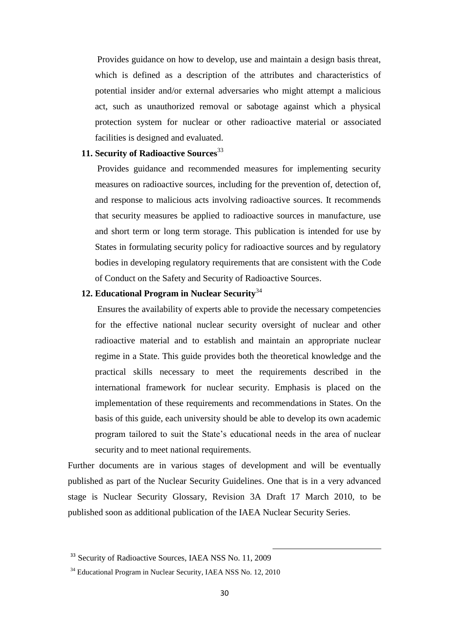Provides guidance on how to develop, use and maintain a design basis threat, which is defined as a description of the attributes and characteristics of potential insider and/or external adversaries who might attempt a malicious act, such as unauthorized removal or sabotage against which a physical protection system for nuclear or other radioactive material or associated facilities is designed and evaluated.

#### **11. [Security of Radioactive Sources](http://www-pub.iaea.org/MTCD/publications/PDF/Pub1387_web.pdf)**<sup>33</sup>

Provides guidance and recommended measures for implementing security measures on radioactive sources, including for the prevention of, detection of, and response to malicious acts involving radioactive sources. It recommends that security measures be applied to radioactive sources in manufacture, use and short term or long term storage. This publication is intended for use by States in formulating security policy for radioactive sources and by regulatory bodies in developing regulatory requirements that are consistent with the [Code](http://www-pub.iaea.org/MTCD/publications/PDF/Code-2004_web.pdf)  [of Conduct on the Safety and Security of Radioactive Sources.](http://www-pub.iaea.org/MTCD/publications/PDF/Code-2004_web.pdf)

## **12. [Educational Program in Nuclear Security](http://www-pub.iaea.org/MTCD/publications/PDF/Pub1439_web.pdf)**<sup>34</sup>

Ensures the availability of experts able to provide the necessary competencies for the effective national nuclear security oversight of nuclear and other radioactive material and to establish and maintain an appropriate nuclear regime in a State. This guide provides both the theoretical knowledge and the practical skills necessary to meet the requirements described in the international framework for nuclear security. Emphasis is placed on the implementation of these requirements and recommendations in States. On the basis of this guide, each university should be able to develop its own academic program tailored to suit the State's educational needs in the area of nuclear security and to meet national requirements.

[Further documents](http://www-ns.iaea.org/security/nuclear_security_series_forthcoming.asp?s=4&l35) are in various stages of development and will be eventually published as part of the Nuclear Security Guidelines. One that is in a very advanced stage is Nuclear Security Glossary, Revision 3A Draft 17 March 2010, to be published soon as additional publication of the IAEA Nuclear Security Series.

<sup>&</sup>lt;sup>[3](http://www-pub.iaea.org/MTCD/publications/PDF/Pub1387_web.pdf)3</sup> [Security of Radioactive Sources,](http://www-pub.iaea.org/MTCD/publications/PDF/Pub1387_web.pdf) IAEA NSS No. 11, 2009

<sup>&</sup>lt;sup>3[4](http://www-pub.iaea.org/MTCD/publications/PDF/Pub1439_web.pdf)</sup> [Educational Program in Nuclear Security,](http://www-pub.iaea.org/MTCD/publications/PDF/Pub1439_web.pdf) IAEA NSS No. 12, 2010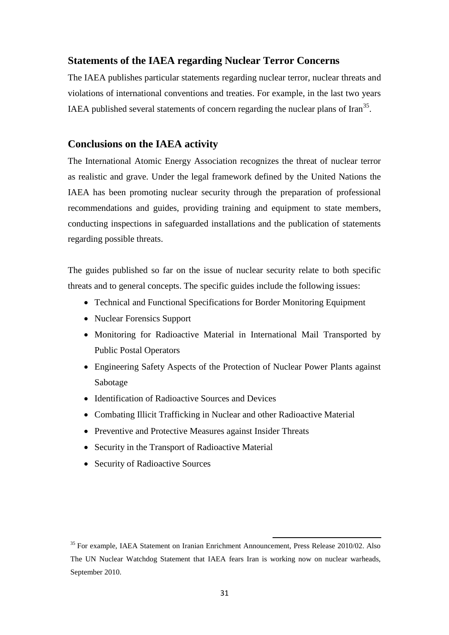#### **Statements of the IAEA regarding Nuclear Terror Concerns**

The IAEA publishes particular statements regarding nuclear terror, nuclear threats and violations of international conventions and treaties. For example, in the last two years IAEA published several statements of concern regarding the nuclear plans of Iran<sup>35</sup>.

#### **Conclusions on the IAEA activity**

The International Atomic Energy Association recognizes the threat of nuclear terror as realistic and grave. Under the legal framework defined by the United Nations the IAEA has been promoting nuclear security through the preparation of professional recommendations and guides, providing training and equipment to state members, conducting inspections in safeguarded installations and the publication of statements regarding possible threats.

The guides published so far on the issue of nuclear security relate to both specific threats and to general concepts. The specific guides include the following issues:

- Technical and Functional Specifications for Border Monitoring Equipment
- [Nuclear Forensics Support](http://www-pub.iaea.org/MTCD/publications/PubDetails.asp?pubId=7401)
- [Monitoring for Radioactive Material in International Mail Transported by](http://www-pub.iaea.org/MTCD/publications/PubDetails.asp?pubId=7402)  [Public Postal Operators](http://www-pub.iaea.org/MTCD/publications/PubDetails.asp?pubId=7402)
- [Engineering Safety Aspects of the Protection of Nuclear Power Plants against](http://www-pub.iaea.org/MTCD/publications/PubDetails.asp?pubId=7574)  [Sabotage](http://www-pub.iaea.org/MTCD/publications/PubDetails.asp?pubId=7574)
- [Identification of Radioactive Sources and Devices](http://www-pub.iaea.org/MTCD/publications/PubDetails.asp?pubId=7567)
- Combating Illicit Trafficking in Nuclear and other Radioactive Material
- [Preventive and Protective Measures against Insider Threats](http://www-pub.iaea.org/MTCD/publications/PubDetails.asp?pubId=7969)
- [Security in the Transport of Radioactive Material](http://www-pub.iaea.org/MTCD/publications/PubDetails.asp?pubId=7987)
- [Security of Radioactive Sources](http://www-pub.iaea.org/MTCD/publications/PDF/Pub1387_web.pdf)

<sup>&</sup>lt;sup>35</sup> For example, IAEA Statement on Iranian Enrichment Announcement, Press Release 2010/02. Also The UN Nuclear Watchdog Statement that IAEA fears Iran is working now on nuclear warheads, September 2010.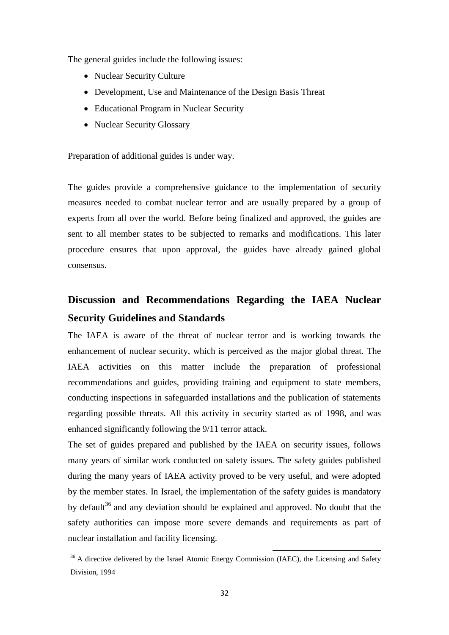The general guides include the following issues:

- [Nuclear Security Culture](http://www-pub.iaea.org/MTCD/publications/PubDetails.asp?pubId=7977)
- [Development, Use and Maintenance of the Design Basis Threat](http://www-pub.iaea.org/MTCD/publications/PDF/Pub1386_web.pdf)
- [Educational Program in Nuclear Security](http://www-pub.iaea.org/MTCD/publications/PDF/Pub1439_web.pdf)
- Nuclear Security Glossary

Preparation of additional guides is under way.

The guides provide a comprehensive guidance to the implementation of security measures needed to combat nuclear terror and are usually prepared by a group of experts from all over the world. Before being finalized and approved, the guides are sent to all member states to be subjected to remarks and modifications. This later procedure ensures that upon approval, the guides have already gained global consensus.

## **Discussion and Recommendations Regarding the IAEA Nuclear Security Guidelines and Standards**

The IAEA is aware of the threat of nuclear terror and is working towards the enhancement of nuclear security, which is perceived as the major global threat. The IAEA activities on this matter include the preparation of professional recommendations and guides, providing training and equipment to state members, conducting inspections in safeguarded installations and the publication of statements regarding possible threats. All this activity in security started as of 1998, and was enhanced significantly following the 9/11 terror attack.

The set of guides prepared and published by the IAEA on security issues, follows many years of similar work conducted on safety issues. The safety guides published during the many years of IAEA activity proved to be very useful, and were adopted by the member states. In Israel, the implementation of the safety guides is mandatory by default<sup>36</sup> and any deviation should be explained and approved. No doubt that the safety authorities can impose more severe demands and requirements as part of nuclear installation and facility licensing.

<sup>&</sup>lt;sup>36</sup> A directive delivered by the Israel Atomic Energy Commission (IAEC), the Licensing and Safety Division, 1994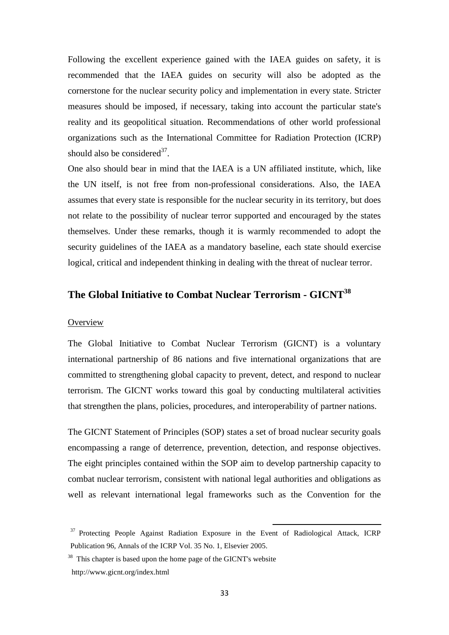Following the excellent experience gained with the IAEA guides on safety, it is recommended that the IAEA guides on security will also be adopted as the cornerstone for the nuclear security policy and implementation in every state. Stricter measures should be imposed, if necessary, taking into account the particular state's reality and its geopolitical situation. Recommendations of other world professional organizations such as the International Committee for Radiation Protection (ICRP) should also be considered $3^7$ .

One also should bear in mind that the IAEA is a UN affiliated institute, which, like the UN itself, is not free from non-professional considerations. Also, the IAEA assumes that every state is responsible for the nuclear security in its territory, but does not relate to the possibility of nuclear terror supported and encouraged by the states themselves. Under these remarks, though it is warmly recommended to adopt the security guidelines of the IAEA as a mandatory baseline, each state should exercise logical, critical and independent thinking in dealing with the threat of nuclear terror.

## **The Global Initiative to Combat Nuclear Terrorism - GICNT<sup>38</sup>**

#### **Overview**

The Global Initiative to Combat Nuclear Terrorism (GICNT) is a voluntary international partnership of 86 nations and five international organizations that are committed to strengthening global capacity to prevent, detect, and respond to nuclear terrorism. The GICNT works toward this goal by conducting multilateral activities that strengthen the plans, policies, procedures, and interoperability of partner nations.

The GICNT Statement of Principles (SOP) states a set of broad nuclear security goals encompassing a range of deterrence, prevention, detection, and response objectives. The eight principles contained within the SOP aim to develop partnership capacity to combat nuclear terrorism, consistent with national legal authorities and obligations as well as relevant international legal frameworks such as the Convention for the

<sup>&</sup>lt;sup>37</sup> Protecting People Against Radiation Exposure in the Event of Radiological Attack, ICRP Publication 96, Annals of the ICRP Vol. 35 No. 1, Elsevier 2005.

<sup>&</sup>lt;sup>38</sup> This chapter is based upon the home page of the GICNT's website http://www.gicnt.org/index.html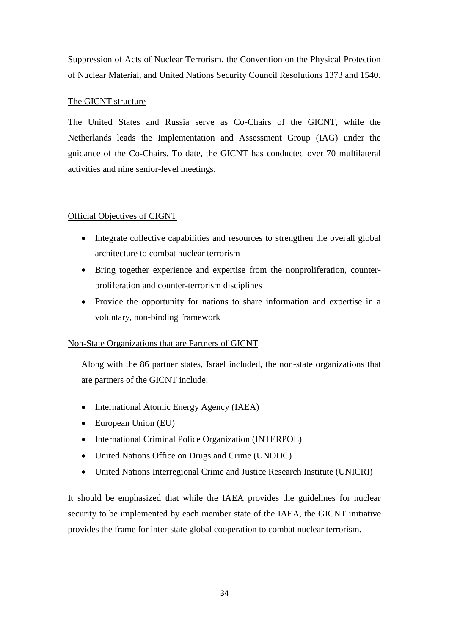Suppression of Acts of Nuclear Terrorism, the Convention on the Physical Protection of Nuclear Material, and United Nations Security Council Resolutions 1373 and 1540.

### The GICNT structure

The United States and Russia serve as Co-Chairs of the GICNT, while the Netherlands leads the Implementation and Assessment Group (IAG) under the guidance of the Co-Chairs. To date, the GICNT has conducted over 70 multilateral activities and nine senior-level meetings.

#### Official Objectives of CIGNT

- Integrate collective capabilities and resources to strengthen the overall global architecture to combat nuclear terrorism
- Bring together experience and expertise from the nonproliferation, counterproliferation and counter-terrorism disciplines
- Provide the opportunity for nations to share information and expertise in a voluntary, non-binding framework

#### Non-State Organizations that are Partners of GICNT

Along with the 86 partner states, Israel included, the non-state organizations that are partners of the GICNT include:

- International Atomic Energy Agency (IAEA)
- European Union (EU)
- International Criminal Police Organization (INTERPOL)
- United Nations Office on Drugs and Crime (UNODC)
- United Nations Interregional Crime and Justice Research Institute (UNICRI)

It should be emphasized that while the IAEA provides the guidelines for nuclear security to be implemented by each member state of the IAEA, the GICNT initiative provides the frame for inter-state global cooperation to combat nuclear terrorism.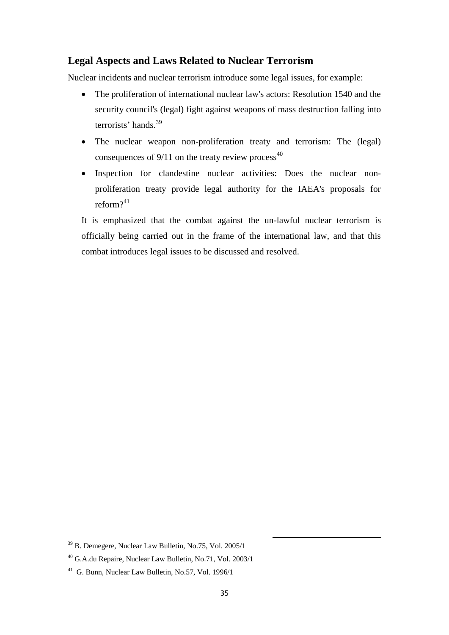#### **Legal Aspects and Laws Related to Nuclear Terrorism**

Nuclear incidents and nuclear terrorism introduce some legal issues, for example:

- The proliferation of international nuclear law's actors: Resolution 1540 and the security council's (legal) fight against weapons of mass destruction falling into terrorists' hands. 39
- The nuclear weapon non-proliferation treaty and terrorism: The (legal) consequences of  $9/11$  on the treaty review process<sup>40</sup>
- Inspection for clandestine nuclear activities: Does the nuclear nonproliferation treaty provide legal authority for the IAEA's proposals for reform? 41

It is emphasized that the combat against the un-lawful nuclear terrorism is officially being carried out in the frame of the international law, and that this combat introduces legal issues to be discussed and resolved.

<sup>39</sup> B. Demegere, Nuclear Law Bulletin, No.75, Vol. 2005/1

<sup>40</sup> G.A.du Repaire, Nuclear Law Bulletin, No.71, Vol. 2003/1

<sup>41</sup> G. Bunn, Nuclear Law Bulletin, No.57, Vol. 1996/1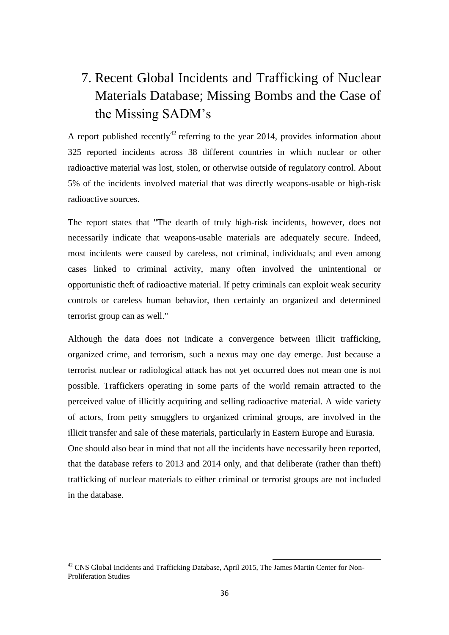# 7. Recent Global Incidents and Trafficking of Nuclear Materials Database; Missing Bombs and the Case of the Missing SADM's

A report published recently<sup>42</sup> referring to the year 2014, provides information about 325 reported incidents across 38 different countries in which nuclear or other radioactive material was lost, stolen, or otherwise outside of regulatory control. About 5% of the incidents involved material that was directly weapons-usable or high-risk radioactive sources.

The report states that "The dearth of truly high-risk incidents, however, does not necessarily indicate that weapons-usable materials are adequately secure. Indeed, most incidents were caused by careless, not criminal, individuals; and even among cases linked to criminal activity, many often involved the unintentional or opportunistic theft of radioactive material. If petty criminals can exploit weak security controls or careless human behavior, then certainly an organized and determined terrorist group can as well."

Although the data does not indicate a convergence between illicit trafficking, organized crime, and terrorism, such a nexus may one day emerge. Just because a terrorist nuclear or radiological attack has not yet occurred does not mean one is not possible. Traffickers operating in some parts of the world remain attracted to the perceived value of illicitly acquiring and selling radioactive material. A wide variety of actors, from petty smugglers to organized criminal groups, are involved in the illicit transfer and sale of these materials, particularly in Eastern Europe and Eurasia. One should also bear in mind that not all the incidents have necessarily been reported, that the database refers to 2013 and 2014 only, and that deliberate (rather than theft) trafficking of nuclear materials to either criminal or terrorist groups are not included in the database.

 $42$  CNS Global Incidents and Trafficking Database, April 2015, The James Martin Center for Non-Proliferation Studies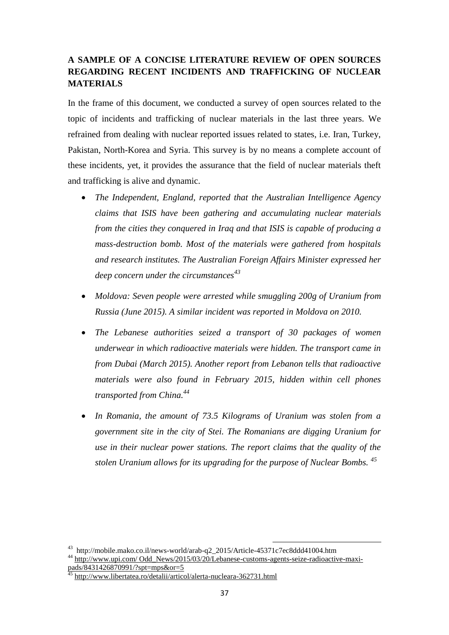## **A SAMPLE OF A CONCISE LITERATURE REVIEW OF OPEN SOURCES REGARDING RECENT INCIDENTS AND TRAFFICKING OF NUCLEAR MATERIALS**

In the frame of this document, we conducted a survey of open sources related to the topic of incidents and trafficking of nuclear materials in the last three years. We refrained from dealing with nuclear reported issues related to states, i.e. Iran, Turkey, Pakistan, North-Korea and Syria. This survey is by no means a complete account of these incidents, yet, it provides the assurance that the field of nuclear materials theft and trafficking is alive and dynamic.

- *The Independent, England, reported that the Australian Intelligence Agency claims that ISIS have been gathering and accumulating nuclear materials from the cities they conquered in Iraq and that ISIS is capable of producing a mass-destruction bomb. Most of the materials were gathered from hospitals and research institutes. The Australian Foreign Affairs Minister expressed her deep concern under the circumstances<sup>43</sup>*
- *Moldova: Seven people were arrested while smuggling 200g of Uranium from Russia (June 2015). A similar incident was reported in Moldova on 2010.*
- *The Lebanese authorities seized a transport of 30 packages of women underwear in which radioactive materials were hidden. The transport came in from Dubai (March 2015). Another report from Lebanon tells that radioactive materials were also found in February 2015, hidden within cell phones transported from China. 44*
- *In Romania, the amount of 73.5 Kilograms of Uranium was stolen from a government site in the city of Stei. The Romanians are digging Uranium for use in their nuclear power stations. The report claims that the quality of the stolen Uranium allows for its upgrading for the purpose of Nuclear Bombs. <sup>45</sup>*

<sup>43</sup> [http://mobile.mako.co.il/news-world/arab-q2\\_2015/Article-45371c7ec8ddd41004.htm](http://mobile.mako.co.il/news-world/arab-q2_2015/Article-45371c7ec8ddd41004.htm)

<sup>&</sup>lt;sup>[4](http://www.upi.com/%20Odd_News/2015/03/20/Lebanese-customs-agents-seize-radioactive-maxi-pads/8431426870991/?spt=mps&or=5)4</sup> [http://www.upi.com/ Odd\\_News/2015/03/20/Lebanese-customs-agents-seize-radioactive-maxi](http://www.upi.com/%20Odd_News/2015/03/20/Lebanese-customs-agents-seize-radioactive-maxi-pads/8431426870991/?spt=mps&or=5)[pads/8431426870991/?spt=mps&or=5](http://www.upi.com/%20Odd_News/2015/03/20/Lebanese-customs-agents-seize-radioactive-maxi-pads/8431426870991/?spt=mps&or=5)

<sup>4</sup>[5](http://www.libertatea.ro/detalii/articol/alerta-nucleara-362731.html) <http://www.libertatea.ro/detalii/articol/alerta-nucleara-362731.html>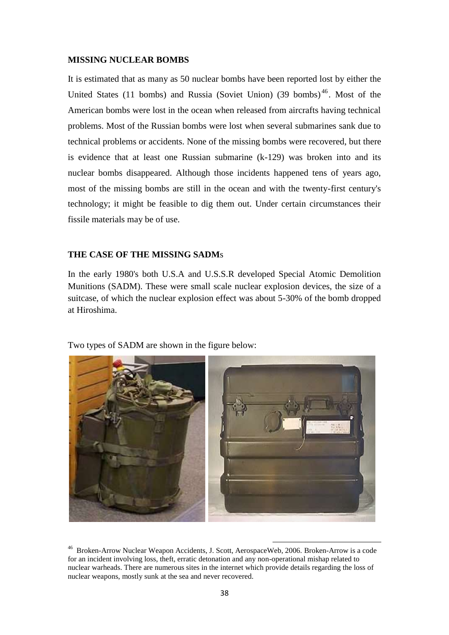#### **MISSING NUCLEAR BOMBS**

It is estimated that as many as 50 nuclear bombs have been reported lost by either the United States (11 bombs) and Russia (Soviet Union) (39 bombs)<sup>46</sup>. Most of the American bombs were lost in the ocean when released from aircrafts having technical problems. Most of the Russian bombs were lost when several submarines sank due to technical problems or accidents. None of the missing bombs were recovered, but there is evidence that at least one Russian submarine (k-129) was broken into and its nuclear bombs disappeared. Although those incidents happened tens of years ago, most of the missing bombs are still in the ocean and with the twenty-first century's technology; it might be feasible to dig them out. Under certain circumstances their fissile materials may be of use.

#### **THE CASE OF THE MISSING SADM**s

In the early 1980's both U.S.A and U.S.S.R developed Special Atomic Demolition Munitions (SADM). These were small scale nuclear explosion devices, the size of a suitcase, of which the nuclear explosion effect was about 5-30% of the bomb dropped at Hiroshima.

Two types of SADM are shown in the figure below:



<sup>46</sup> Broken-Arrow Nuclear Weapon Accidents, J. Scott, AerospaceWeb, 2006. Broken-Arrow is a code for an incident involving loss, theft, erratic detonation and any non-operational mishap related to nuclear warheads. There are numerous sites in the internet which provide details regarding the loss of nuclear weapons, mostly sunk at the sea and never recovered.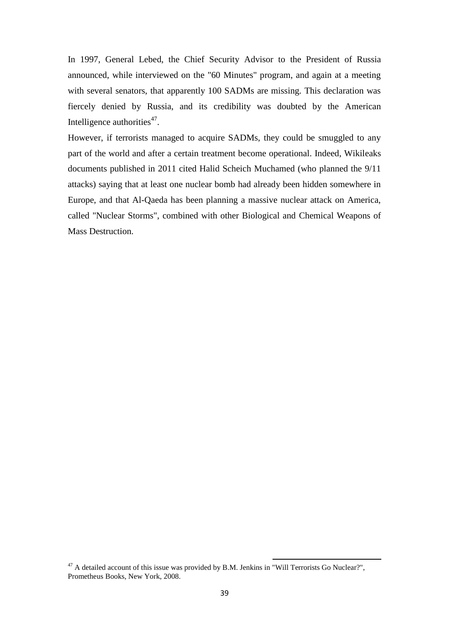In 1997, General Lebed, the Chief Security Advisor to the President of Russia announced, while interviewed on the "60 Minutes" program, and again at a meeting with several senators, that apparently 100 SADMs are missing. This declaration was fiercely denied by Russia, and its credibility was doubted by the American Intelligence authorities $47$ .

However, if terrorists managed to acquire SADMs, they could be smuggled to any part of the world and after a certain treatment become operational. Indeed, Wikileaks documents published in 2011 cited Halid Scheich Muchamed (who planned the 9/11 attacks) saying that at least one nuclear bomb had already been hidden somewhere in Europe, and that Al-Qaeda has been planning a massive nuclear attack on America, called "Nuclear Storms", combined with other Biological and Chemical Weapons of Mass Destruction.

 $47$  A detailed account of this issue was provided by B.M. Jenkins in "Will Terrorists Go Nuclear?", Prometheus Books, New York, 2008.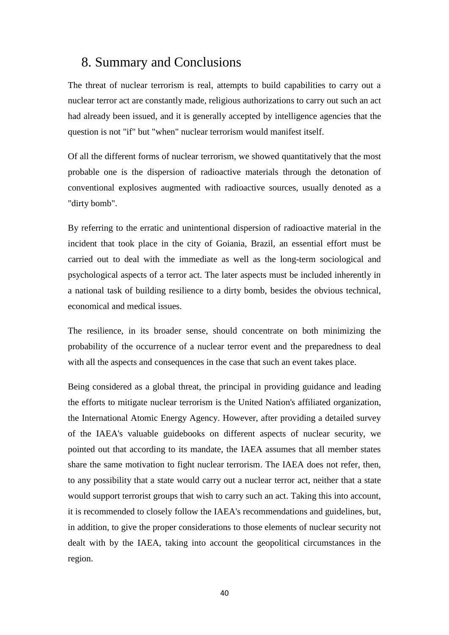## 8. Summary and Conclusions

The threat of nuclear terrorism is real, attempts to build capabilities to carry out a nuclear terror act are constantly made, religious authorizations to carry out such an act had already been issued, and it is generally accepted by intelligence agencies that the question is not "if" but "when" nuclear terrorism would manifest itself.

Of all the different forms of nuclear terrorism, we showed quantitatively that the most probable one is the dispersion of radioactive materials through the detonation of conventional explosives augmented with radioactive sources, usually denoted as a "dirty bomb".

By referring to the erratic and unintentional dispersion of radioactive material in the incident that took place in the city of Goiania, Brazil, an essential effort must be carried out to deal with the immediate as well as the long-term sociological and psychological aspects of a terror act. The later aspects must be included inherently in a national task of building resilience to a dirty bomb, besides the obvious technical, economical and medical issues.

The resilience, in its broader sense, should concentrate on both minimizing the probability of the occurrence of a nuclear terror event and the preparedness to deal with all the aspects and consequences in the case that such an event takes place.

Being considered as a global threat, the principal in providing guidance and leading the efforts to mitigate nuclear terrorism is the United Nation's affiliated organization, the International Atomic Energy Agency. However, after providing a detailed survey of the IAEA's valuable guidebooks on different aspects of nuclear security, we pointed out that according to its mandate, the IAEA assumes that all member states share the same motivation to fight nuclear terrorism. The IAEA does not refer, then, to any possibility that a state would carry out a nuclear terror act, neither that a state would support terrorist groups that wish to carry such an act. Taking this into account, it is recommended to closely follow the IAEA's recommendations and guidelines, but, in addition, to give the proper considerations to those elements of nuclear security not dealt with by the IAEA, taking into account the geopolitical circumstances in the region.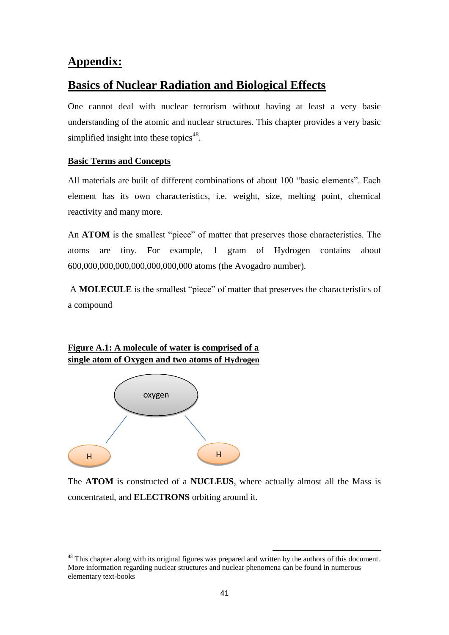## **Appendix:**

## **Basics of Nuclear Radiation and Biological Effects**

One cannot deal with nuclear terrorism without having at least a very basic understanding of the atomic and nuclear structures. This chapter provides a very basic simplified insight into these topics<sup>48</sup>.

#### **Basic Terms and Concepts**

All materials are built of different combinations of about 100 "basic elements". Each element has its own characteristics, i.e. weight, size, melting point, chemical reactivity and many more.

An **ATOM** is the smallest "piece" of matter that preserves those characteristics. The atoms are tiny. For example, 1 gram of Hydrogen contains about 600,000,000,000,000,000,000,000 atoms (the Avogadro number).

A **MOLECULE** is the smallest "piece" of matter that preserves the characteristics of a compound

### **Figure A.1: A molecule of water is comprised of a single atom of Oxygen and two atoms of Hydrogen**



The **ATOM** is constructed of a **NUCLEUS**, where actually almost all the Mass is concentrated, and **ELECTRONS** orbiting around it.

<sup>&</sup>lt;sup>48</sup> This chapter along with its original figures was prepared and written by the authors of this document. More information regarding nuclear structures and nuclear phenomena can be found in numerous elementary text-books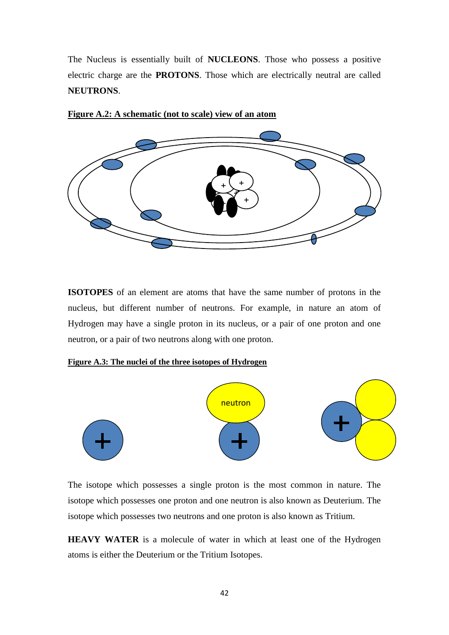The Nucleus is essentially built of **NUCLEONS**. Those who possess a positive electric charge are the **PROTONS**. Those which are electrically neutral are called **NEUTRONS**.



#### **Figure A.2: A schematic (not to scale) view of an atom**

**ISOTOPES** of an element are atoms that have the same number of protons in the nucleus, but different number of neutrons. For example, in nature an atom of Hydrogen may have a single proton in its nucleus, or a pair of one proton and one neutron, or a pair of two neutrons along with one proton.

#### **Figure A.3: The nuclei of the three isotopes of Hydrogen**



The isotope which possesses a single proton is the most common in nature. The isotope which possesses one proton and one neutron is also known as Deuterium. The isotope which possesses two neutrons and one proton is also known as Tritium.

**HEAVY WATER** is a molecule of water in which at least one of the Hydrogen atoms is either the Deuterium or the Tritium Isotopes.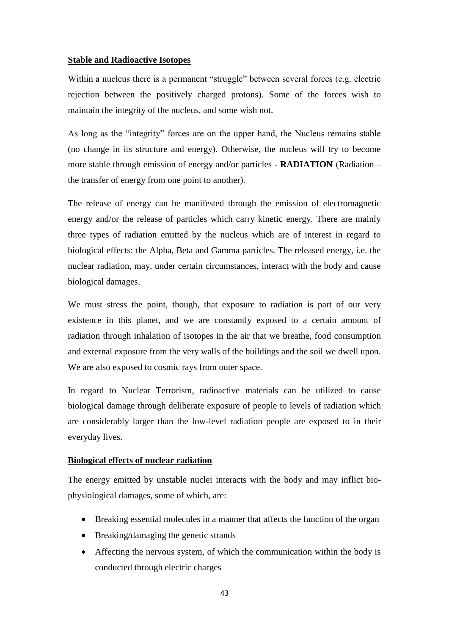#### **Stable and Radioactive Isotopes**

Within a nucleus there is a permanent "struggle" between several forces (e.g. electric rejection between the positively charged protons). Some of the forces wish to maintain the integrity of the nucleus, and some wish not.

As long as the "integrity" forces are on the upper hand, the Nucleus remains stable (no change in its structure and energy). Otherwise, the nucleus will try to become more stable through emission of energy and/or particles - **RADIATION** (Radiation – the transfer of energy from one point to another).

The release of energy can be manifested through the emission of electromagnetic energy and/or the release of particles which carry kinetic energy. There are mainly three types of radiation emitted by the nucleus which are of interest in regard to biological effects: the Alpha, Beta and Gamma particles. The released energy, i.e. the nuclear radiation, may, under certain circumstances, interact with the body and cause biological damages.

We must stress the point, though, that exposure to radiation is part of our very existence in this planet, and we are constantly exposed to a certain amount of radiation through inhalation of isotopes in the air that we breathe, food consumption and external exposure from the very walls of the buildings and the soil we dwell upon. We are also exposed to cosmic rays from outer space.

In regard to Nuclear Terrorism, radioactive materials can be utilized to cause biological damage through deliberate exposure of people to levels of radiation which are considerably larger than the low-level radiation people are exposed to in their everyday lives.

#### **Biological effects of nuclear radiation**

The energy emitted by unstable nuclei interacts with the body and may inflict biophysiological damages, some of which, are:

- Breaking essential molecules in a manner that affects the function of the organ
- Breaking/damaging the genetic strands
- Affecting the nervous system, of which the communication within the body is conducted through electric charges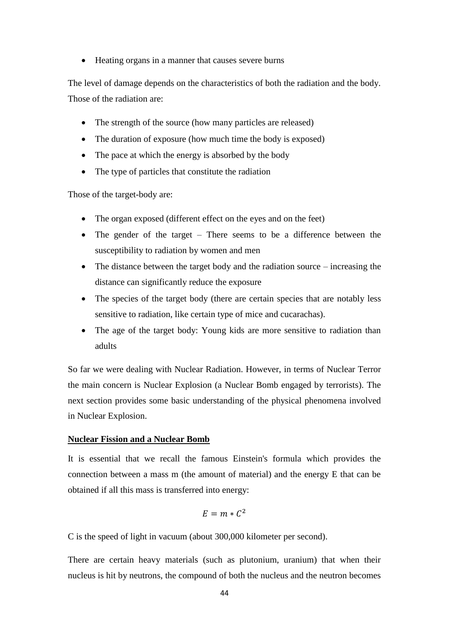• Heating organs in a manner that causes severe burns

The level of damage depends on the characteristics of both the radiation and the body. Those of the radiation are:

- The strength of the source (how many particles are released)
- The duration of exposure (how much time the body is exposed)
- The pace at which the energy is absorbed by the body
- The type of particles that constitute the radiation

Those of the target-body are:

- The organ exposed (different effect on the eyes and on the feet)
- The gender of the target There seems to be a difference between the susceptibility to radiation by women and men
- The distance between the target body and the radiation source increasing the distance can significantly reduce the exposure
- The species of the target body (there are certain species that are notably less sensitive to radiation, like certain type of mice and cucarachas).
- The age of the target body: Young kids are more sensitive to radiation than adults

So far we were dealing with Nuclear Radiation. However, in terms of Nuclear Terror the main concern is Nuclear Explosion (a Nuclear Bomb engaged by terrorists). The next section provides some basic understanding of the physical phenomena involved in Nuclear Explosion.

#### **Nuclear Fission and a Nuclear Bomb**

It is essential that we recall the famous Einstein's formula which provides the connection between a mass m (the amount of material) and the energy E that can be obtained if all this mass is transferred into energy:

$$
E=m*C^2
$$

C is the speed of light in vacuum (about 300,000 kilometer per second).

There are certain heavy materials (such as plutonium, uranium) that when their nucleus is hit by neutrons, the compound of both the nucleus and the neutron becomes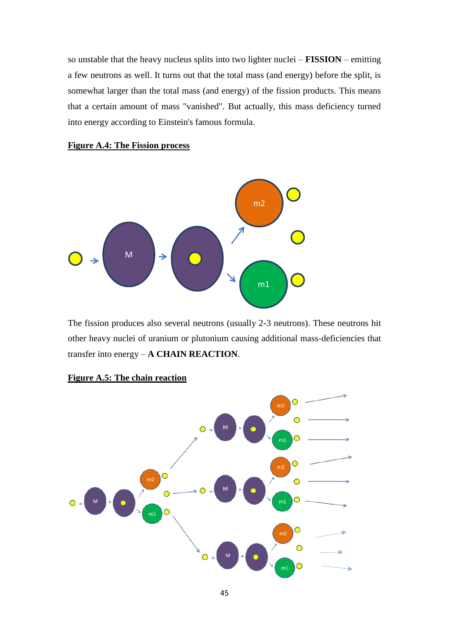so unstable that the heavy nucleus splits into two lighter nuclei – **FISSION** – emitting a few neutrons as well. It turns out that the total mass (and energy) before the split, is somewhat larger than the total mass (and energy) of the fission products. This means that a certain amount of mass "vanished". But actually, this mass deficiency turned into energy according to Einstein's famous formula.

#### **Figure A.4: The Fission process**



The fission produces also several neutrons (usually 2-3 neutrons). These neutrons hit other heavy nuclei of uranium or plutonium causing additional mass-deficiencies that transfer into energy – **A CHAIN REACTION**.



#### **Figure A.5: The chain reaction**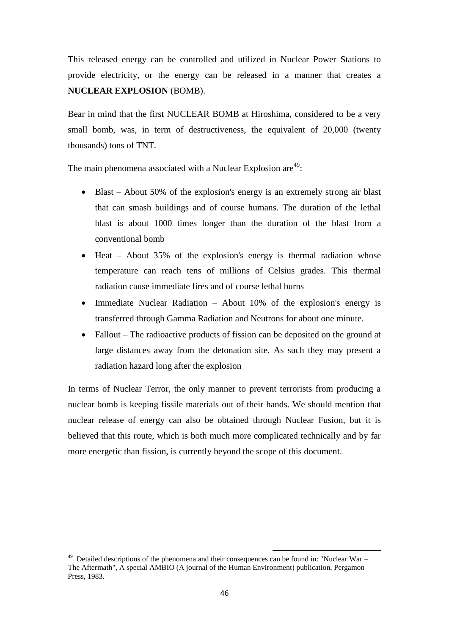This released energy can be controlled and utilized in Nuclear Power Stations to provide electricity, or the energy can be released in a manner that creates a **NUCLEAR EXPLOSION** (BOMB).

Bear in mind that the first NUCLEAR BOMB at Hiroshima, considered to be a very small bomb, was, in term of destructiveness, the equivalent of 20,000 (twenty thousands) tons of TNT.

The main phenomena associated with a Nuclear Explosion are<sup>49</sup>:

- Blast About 50% of the explosion's energy is an extremely strong air blast that can smash buildings and of course humans. The duration of the lethal blast is about 1000 times longer than the duration of the blast from a conventional bomb
- $\bullet$  Heat About 35% of the explosion's energy is thermal radiation whose temperature can reach tens of millions of Celsius grades. This thermal radiation cause immediate fires and of course lethal burns
- Immediate Nuclear Radiation About  $10\%$  of the explosion's energy is transferred through Gamma Radiation and Neutrons for about one minute.
- Fallout The radioactive products of fission can be deposited on the ground at large distances away from the detonation site. As such they may present a radiation hazard long after the explosion

In terms of Nuclear Terror, the only manner to prevent terrorists from producing a nuclear bomb is keeping fissile materials out of their hands. We should mention that nuclear release of energy can also be obtained through Nuclear Fusion, but it is believed that this route, which is both much more complicated technically and by far more energetic than fission, is currently beyond the scope of this document.

<sup>&</sup>lt;sup>49</sup> Detailed descriptions of the phenomena and their consequences can be found in: "Nuclear War – The Aftermath", A special AMBIO (A journal of the Human Environment) publication, Pergamon Press, 1983.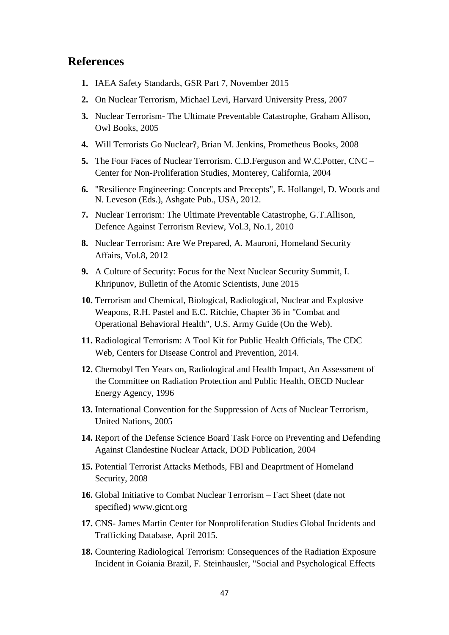## **References**

- **1.** IAEA Safety Standards, GSR Part 7, November 2015
- **2.** On Nuclear Terrorism, Michael Levi, Harvard University Press, 2007
- **3.** Nuclear Terrorism- The Ultimate Preventable Catastrophe, Graham Allison, Owl Books, 2005
- **4.** Will Terrorists Go Nuclear?, Brian M. Jenkins, Prometheus Books, 2008
- **5.** The Four Faces of Nuclear Terrorism. C.D.Ferguson and W.C.Potter, CNC Center for Non-Proliferation Studies, Monterey, California, 2004
- **6.** "Resilience Engineering: Concepts and Precepts", E. Hollangel, D. Woods and N. Leveson (Eds.), Ashgate Pub., USA, 2012.
- **7.** Nuclear Terrorism: The Ultimate Preventable Catastrophe, G.T.Allison, Defence Against Terrorism Review, Vol.3, No.1, 2010
- **8.** Nuclear Terrorism: Are We Prepared, A. Mauroni, Homeland Security Affairs, Vol.8, 2012
- **9.** A Culture of Security: Focus for the Next Nuclear Security Summit, I. Khripunov, Bulletin of the Atomic Scientists, June 2015
- **10.** Terrorism and Chemical, Biological, Radiological, Nuclear and Explosive Weapons, R.H. Pastel and E.C. Ritchie, Chapter 36 in "Combat and Operational Behavioral Health", U.S. Army Guide (On the Web).
- **11.** Radiological Terrorism: A Tool Kit for Public Health Officials, The CDC Web, Centers for Disease Control and Prevention, 2014.
- **12.** Chernobyl Ten Years on, Radiological and Health Impact, An Assessment of the Committee on Radiation Protection and Public Health, OECD Nuclear Energy Agency, 1996
- **13.** International Convention for the Suppression of Acts of Nuclear Terrorism, United Nations, 2005
- **14.** Report of the Defense Science Board Task Force on Preventing and Defending Against Clandestine Nuclear Attack, DOD Publication, 2004
- **15.** Potential Terrorist Attacks Methods, FBI and Deaprtment of Homeland Security, 2008
- **16.** Global Initiative to Combat Nuclear Terrorism Fact Sheet (date not specified) [www.gicnt.org](http://www.gicnt.org/)
- **17.** CNS- James Martin Center for Nonproliferation Studies Global Incidents and Trafficking Database, April 2015.
- **18.** Countering Radiological Terrorism: Consequences of the Radiation Exposure Incident in Goiania Brazil, F. Steinhausler, "Social and Psychological Effects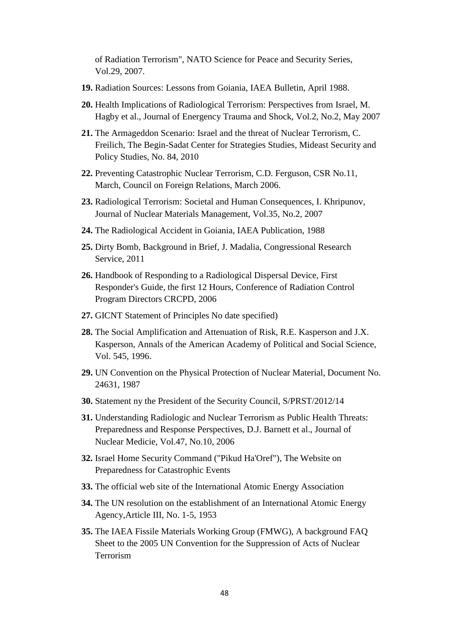of Radiation Terrorism", NATO Science for Peace and Security Series, Vol.29, 2007.

- **19.** Radiation Sources: Lessons from Goiania, IAEA Bulletin, April 1988.
- **20.** Health Implications of Radiological Terrorism: Perspectives from Israel, M. Hagby et al., Journal of Energency Trauma and Shock, Vol.2, No.2, May 2007
- **21.** The Armageddon Scenario: Israel and the threat of Nuclear Terrorism, C. Freilich, The Begin-Sadat Center for Strategies Studies, Mideast Security and Policy Studies, No. 84, 2010
- **22.** Preventing Catastrophic Nuclear Terrorism, C.D. Ferguson, CSR No.11, March, Council on Foreign Relations, March 2006.
- **23.** Radiological Terrorism: Societal and Human Consequences, I. Khripunov, Journal of Nuclear Materials Management, Vol.35, No.2, 2007
- **24.** The Radiological Accident in Goiania, IAEA Publication, 1988
- **25.** Dirty Bomb, Background in Brief, J. Madalia, Congressional Research Service, 2011
- **26.** Handbook of Responding to a Radiological Dispersal Device, First Responder's Guide, the first 12 Hours, Conference of Radiation Control Program Directors CRCPD, 2006
- **27.** GICNT Statement of Principles No date specified)
- **28.** The Social Amplification and Attenuation of Risk, R.E. Kasperson and J.X. Kasperson, Annals of the American Academy of Political and Social Science, Vol. 545, 1996.
- **29.** UN Convention on the Physical Protection of Nuclear Material, Document No. 24631, 1987
- **30.** Statement ny the President of the Security Council, S/PRST/2012/14
- **31.** Understanding Radiologic and Nuclear Terrorism as Public Health Threats: Preparedness and Response Perspectives, D.J. Barnett et al., Journal of Nuclear Medicie, Vol.47, No.10, 2006
- **32.** Israel Home Security Command ("Pikud Ha'Oref"), The Website on Preparedness for Catastrophic Events
- **33.** The official web site of the International Atomic Energy Association
- **34.** The UN resolution on the establishment of an International Atomic Energy Agency,Article III, No. 1-5, 1953
- **35.** The IAEA Fissile Materials Working Group (FMWG), A background FAQ Sheet to the 2005 UN Convention for the Suppression of Acts of Nuclear Terrorism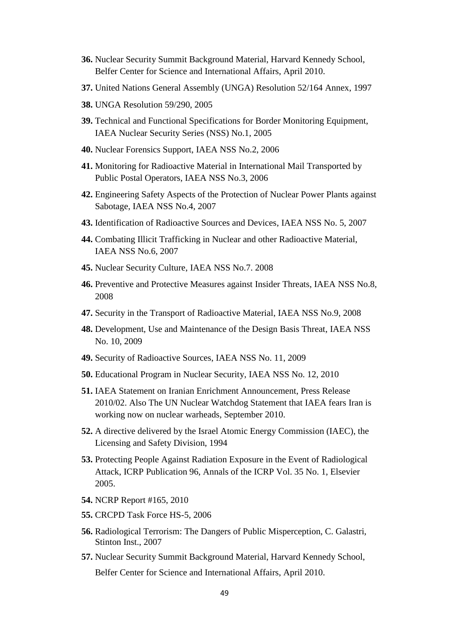- **36.** Nuclear Security Summit Background Material, Harvard Kennedy School, Belfer Center for Science and International Affairs, April 2010.
- **37.** United Nations General Assembly (UNGA) Resolution 52/164 Annex, 1997
- **38.** UNGA Resolution 59/290, 2005
- **39.** Technical and Functional Specifications for Border Monitoring Equipment, IAEA Nuclear Security Series (NSS) No.1, 2005
- **40.** [Nuclear Forensics Support,](http://www-pub.iaea.org/MTCD/publications/PubDetails.asp?pubId=7401) IAEA NSS No.2, 2006
- **41.** [Monitoring for Radioactive Material in International Mail Transported by](http://www-pub.iaea.org/MTCD/publications/PubDetails.asp?pubId=7402)  [Public Postal Operators,](http://www-pub.iaea.org/MTCD/publications/PubDetails.asp?pubId=7402) IAEA NSS No.3, 2006
- **42.** [Engineering Safety Aspects of the Protection of Nuclear Power Plants against](http://www-pub.iaea.org/MTCD/publications/PubDetails.asp?pubId=7574)  [Sabotage,](http://www-pub.iaea.org/MTCD/publications/PubDetails.asp?pubId=7574) IAEA NSS No.4, 2007
- **43.** [Identification of Radioactive Sources and Devices,](http://www-pub.iaea.org/MTCD/publications/PubDetails.asp?pubId=7567) IAEA NSS No. 5, 2007
- **44.** Combating Illicit Trafficking in Nuclear and other Radioactive Material, IAEA NSS No.6, 2007
- **45.** [Nuclear Security Culture,](http://www-pub.iaea.org/MTCD/publications/PubDetails.asp?pubId=7977) IAEA NSS No.7. 2008
- **46.** [Preventive and Protective Measures against Insider Threats,](http://www-pub.iaea.org/MTCD/publications/PubDetails.asp?pubId=7969) IAEA NSS No.8, 2008
- **47.** [Security in the Transport of Radioactive Material,](http://www-pub.iaea.org/MTCD/publications/PubDetails.asp?pubId=7987) IAEA NSS No.9, 2008
- **48.** [Development, Use and Maintenance of the Design Basis Threat,](http://www-pub.iaea.org/MTCD/publications/PDF/Pub1386_web.pdf) IAEA NSS No. 10, 2009
- **49.** [Security of Radioactive Sources,](http://www-pub.iaea.org/MTCD/publications/PDF/Pub1387_web.pdf) IAEA NSS No. 11, 2009
- **50.** [Educational Program in Nuclear Security,](http://www-pub.iaea.org/MTCD/publications/PDF/Pub1439_web.pdf) IAEA NSS No. 12, 2010
- **51.** IAEA Statement on Iranian Enrichment Announcement, Press Release 2010/02. Also The UN Nuclear Watchdog Statement that IAEA fears Iran is working now on nuclear warheads, September 2010.
- **52.** A directive delivered by the Israel Atomic Energy Commission (IAEC), the Licensing and Safety Division, 1994
- **53.** Protecting People Against Radiation Exposure in the Event of Radiological Attack, ICRP Publication 96, Annals of the ICRP Vol. 35 No. 1, Elsevier 2005.
- **54.** NCRP Report #165, 2010
- **55.** CRCPD Task Force HS-5, 2006
- **56.** Radiological Terrorism: The Dangers of Public Misperception, C. Galastri, Stinton Inst., 2007
- **57.** Nuclear Security Summit Background Material, Harvard Kennedy School, Belfer Center for Science and International Affairs, April 2010.